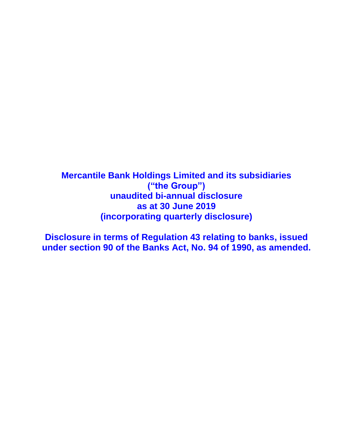**Mercantile Bank Holdings Limited and its subsidiaries ("the Group") unaudited bi-annual disclosure as at 30 June 2019 (incorporating quarterly disclosure)**

**Disclosure in terms of Regulation 43 relating to banks, issued under section 90 of the Banks Act, No. 94 of 1990, as amended.**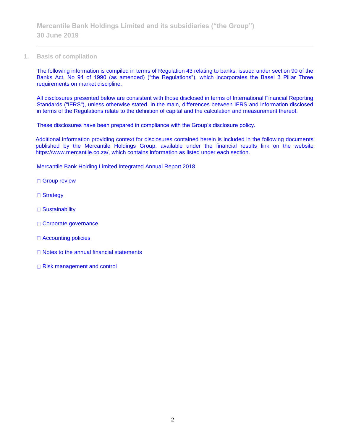**1. Basis of compilation**

The following information is compiled in terms of Regulation 43 relating to banks, issued under section 90 of the Banks Act, No 94 of 1990 (as amended) ("the Regulations"), which incorporates the Basel 3 Pillar Three requirements on market discipline.

All disclosures presented below are consistent with those disclosed in terms of International Financial Reporting Standards ("IFRS"), unless otherwise stated. In the main, differences between IFRS and information disclosed in terms of the Regulations relate to the definition of capital and the calculation and measurement thereof.

These disclosures have been prepared in compliance with the Group's disclosure policy.

Additional information providing context for disclosures contained herein is included in the following documents published by the Mercantile Holdings Group, available under the financial results link on the website https://www.mercantile.co.za/, which contains information as listed under each section.

Mercantile Bank Holding Limited Integrated Annual Report 2018

- □ Group review
- □ Strategy
- □ Sustainability
- Corporate governance
- □ Accounting policies
- □ Notes to the annual financial statements
- □ Risk management and control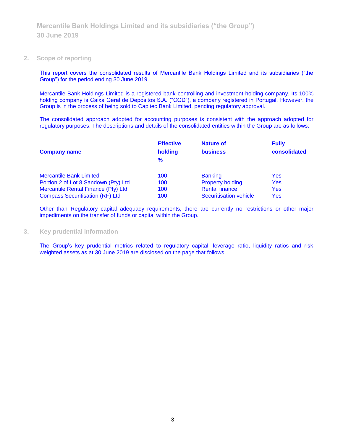#### **2. Scope of reporting**

This report covers the consolidated results of Mercantile Bank Holdings Limited and its subsidiaries ("the Group") for the period ending 30 June 2019.

Mercantile Bank Holdings Limited is a registered bank-controlling and investment-holding company. Its 100% holding company is Caixa Geral de Depósitos S.A. ("CGD"), a company registered in Portugal. However, the Group is in the process of being sold to Capitec Bank Limited, pending regulatory approval.

The consolidated approach adopted for accounting purposes is consistent with the approach adopted for regulatory purposes. The descriptions and details of the consolidated entities within the Group are as follows:

| <b>Company name</b>                    | <b>Effective</b><br>holding<br>$\frac{9}{6}$ | <b>Nature of</b><br><b>business</b> | <b>Fully</b><br>consolidated |
|----------------------------------------|----------------------------------------------|-------------------------------------|------------------------------|
| <b>Mercantile Bank Limited</b>         | 100                                          | <b>Banking</b>                      | Yes                          |
| Portion 2 of Lot 8 Sandown (Pty) Ltd   | 100                                          | <b>Property holding</b>             | Yes                          |
| Mercantile Rental Finance (Pty) Ltd    | 100                                          | <b>Rental finance</b>               | Yes                          |
| <b>Compass Securitisation (RF) Ltd</b> | 100                                          | <b>Securitisation vehicle</b>       | Yes                          |

Other than Regulatory capital adequacy requirements, there are currently no restrictions or other major impediments on the transfer of funds or capital within the Group.

#### **3. Key prudential information**

The Group's key prudential metrics related to regulatory capital, leverage ratio, liquidity ratios and risk weighted assets as at 30 June 2019 are disclosed on the page that follows.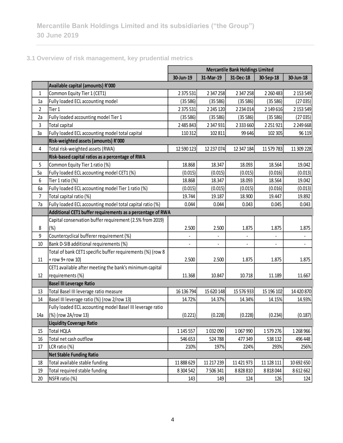**3.1 Overview of risk management, key prudential metrics**

|             |                                                            | <b>Mercantile Bank Holdings Limited</b> |            |               |               |                          |  |
|-------------|------------------------------------------------------------|-----------------------------------------|------------|---------------|---------------|--------------------------|--|
|             |                                                            | 30-Jun-19                               | 31-Mar-19  | 31-Dec-18     | 30-Sep-18     | 30-Jun-18                |  |
|             | Available capital (amounts) R'000                          |                                         |            |               |               |                          |  |
| $\mathbf 1$ | Common Equity Tier 1 (CET1)                                | 2 375 531                               | 2 347 258  | 2 347 258     | 2 2 6 0 4 8 3 | 2 153 549                |  |
| 1a          | Fully loaded ECL accounting model                          | (35586)                                 | (35586)    | (35586)       | (35586)       | (27035)                  |  |
| 2           | Tier 1                                                     | 2 375 531                               | 2 245 120  | 2 2 3 4 0 1 4 | 2 149 616     | 2 153 549                |  |
| 2a          | Fully loaded accounting model Tier 1                       | (35586)                                 | (35586)    | (35586)       | (35586)       | (27035)                  |  |
| 3           | Total capital                                              | 2 485 843                               | 2 347 931  | 2 333 660     | 2 2 5 1 9 2 1 | 2 249 668                |  |
| 3a          | Fully loaded ECL accounting model total capital            | 110 312                                 | 102 811    | 99 646        | 102 305       | 96 119                   |  |
|             | Risk-weighted assets (amounts) R'000                       |                                         |            |               |               |                          |  |
| 4           | Total risk-weighted assets (RWA)                           | 12 590 123                              | 12 237 074 | 12 347 184    | 11 579 783    | 11 309 228               |  |
|             | Risk-based capital ratios as a percentage of RWA           |                                         |            |               |               |                          |  |
| 5           | Common Equity Tier 1 ratio (%)                             | 18.868                                  | 18.347     | 18.093        | 18.564        | 19.042                   |  |
| 5a          | Fully loaded ECL accounting model CET1 (%)                 | (0.015)                                 | (0.015)    | (0.015)       | (0.016)       | (0.013)                  |  |
| 6           | Tier 1 ratio (%)                                           | 18.868                                  | 18.347     | 18.093        | 18.564        | 19.042                   |  |
| 6a          | Fully loaded ECL accounting model Tier 1 ratio (%)         | (0.015)                                 | (0.015)    | (0.015)       | (0.016)       | (0.013)                  |  |
| 7           | Total capital ratio (%)                                    | 19.744                                  | 19.187     | 18.900        | 19.447        | 19.892                   |  |
| 7a          | Fully loaded ECL accounting model total capital ratio (%)  | 0.044                                   | 0.044      | 0.043         | 0.045         | 0.043                    |  |
|             | Additional CET1 buffer requirements as a percentage of RWA |                                         |            |               |               |                          |  |
|             | Capital conservation buffer requirement (2.5% from 2019)   |                                         |            |               |               |                          |  |
| 8           | (%)                                                        | 2.500                                   | 2.500      | 1.875         | 1.875         | 1.875                    |  |
| 9           | Countercyclical bufferer requirement (%)                   |                                         |            |               |               |                          |  |
| 10          | Bank D-SIB additional requirements (%)                     |                                         |            |               |               | $\overline{\phantom{a}}$ |  |
|             | Total of bank CET1 specific buffer requirements (%) (row 8 |                                         |            |               |               |                          |  |
| 11          | + row 9+ row 10)                                           | 2.500                                   | 2.500      | 1.875         | 1.875         | 1.875                    |  |
|             | CET1 available after meeting the bank's minimum capital    |                                         |            |               |               |                          |  |
| 12          | requirements (%)                                           | 11.368                                  | 10.847     | 10.718        | 11.189        | 11.667                   |  |
|             | <b>Basel III Leverage Ratio</b>                            |                                         |            |               |               |                          |  |
| 13          | Total Basel III leverage ratio measure                     | 16 136 794                              | 15 620 148 | 15 576 933    | 15 196 102    | 14 420 870               |  |
| 14          | Basel III leverage ratio (%) (row 2/row 13)                | 14.72%                                  | 14.37%     | 14.34%        | 14.15%        | 14.93%                   |  |
|             | Fully loaded ECL accounting model Basel III leverage ratio |                                         |            |               |               |                          |  |
| 14a         | (%) (row 2A/row 13)                                        | (0.221)                                 | (0.228)    | (0.228)       | (0.234)       | (0.187)                  |  |
|             | <b>Liquidity Coverage Ratio</b>                            |                                         |            |               |               |                          |  |
| 15          | <b>Total HQLA</b>                                          | 1 145 557                               | 1032090    | 1067990       | 1579276       | 1 268 966                |  |
| 16          | Total net cash outflow                                     | 546 653                                 | 524 788    | 477349        | 538 132       | 496 448                  |  |
| 17          | LCR ratio (%)                                              | 210%                                    | 197%       | 224%          | 293%          | 256%                     |  |
|             | <b>Net Stable Funding Ratio</b>                            |                                         |            |               |               |                          |  |
| 18          | Total available stable funding                             | 11 888 629                              | 11 217 239 | 11 421 973    | 11 128 111    | 10 692 650               |  |
| 19          | Total required stable funding                              | 8 304 542                               | 7506341    | 8828810       | 8 8 1 8 0 4 4 | 8612662                  |  |
| 20          | NSFR ratio (%)                                             | 143                                     | 149        | 124           | 126           | 124                      |  |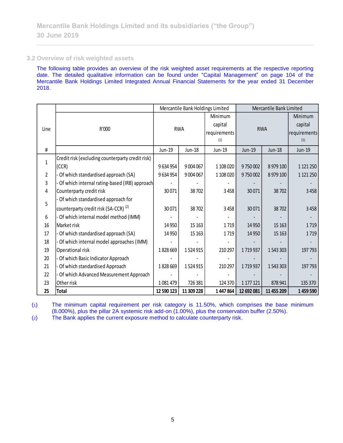#### **3.2 Overview of risk weighted assets**

The following table provides an overview of the risk weighted asset requirements at the respective reporting date. The detailed qualitative information can be found under "Capital Management" on page 104 of the Mercantile Bank Holdings Limited Integrated Annual Financial Statements for the year ended 31 December 2018.

|              |                                                  |            | Mercantile Bank Holdings Limited |              | Mercantile Bank Limited |            |               |  |
|--------------|--------------------------------------------------|------------|----------------------------------|--------------|-------------------------|------------|---------------|--|
|              |                                                  |            |                                  | Minimum      |                         |            | Minimum       |  |
|              |                                                  |            |                                  | capital      |                         |            | capital       |  |
| Line         | R'000                                            |            | <b>RWA</b>                       | requirements |                         | <b>RWA</b> | requirements  |  |
|              |                                                  |            |                                  | (1)          |                         |            | (1)           |  |
| #            |                                                  | Jun-19     | Jun-18                           | Jun-19       | Jun-19<br>Jun-18        |            | Jun-19        |  |
| $\mathbf{1}$ | Credit risk (excluding counterparty credit risk) |            |                                  |              |                         |            |               |  |
|              | (CCR)                                            | 9 634 954  | 9 0 0 4 0 6 7                    | 1 108 020    | 9750002                 | 8 979 100  | 1 1 2 1 2 5 0 |  |
| 2            | Of which standardised approach (SA)              | 9634954    | 9 0 0 4 0 6 7                    | 1 108 020    | 9750002                 | 8 979 100  | 1 1 2 1 2 5 0 |  |
| 3            | Of which internal rating-based (IRB) approach    |            |                                  |              |                         |            |               |  |
| 4            | Counterparty credit risk                         | 30071      | 38702                            | 3458         | 30071                   | 38 702     | 3458          |  |
|              | Of which standardised approach for               |            |                                  |              |                         |            |               |  |
| 5            | counterparty credit risk (SA-CCR) <sup>(2)</sup> | 30071      | 38702                            | 3458         | 30071                   | 38702      | 3458          |  |
| 6            | Of which internal model method (IMM)             |            |                                  |              |                         |            |               |  |
| 16           | Market risk                                      | 14 9 50    | 15 163                           | 1719         | 14 9 50                 | 15 163     | 1719          |  |
| 17           | - Of which standardised approach (SA)            | 14 9 50    | 15 1 63                          | 1719         | 14 9 50                 | 15 1 63    | 1719          |  |
| 18           | Of which internal model approaches (IMM)         |            |                                  |              |                         |            |               |  |
| 19           | Operational risk                                 | 1828669    | 1524915                          | 210 297      | 1719937                 | 1543303    | 197 793       |  |
| 20           | Of which Basic Indicator Approach                |            |                                  |              |                         |            |               |  |
| 21           | Of which standardised Approach                   | 1828669    | 1524915                          | 210 297      | 1719937                 | 1543303    | 197 793       |  |
| 22           | Of which Advanced Measurement Approach           |            |                                  |              |                         |            |               |  |
| 23           | Other risk                                       | 1081479    | 726 381                          | 124 370      | 1 177 121               | 878 941    | 135 370       |  |
| 25           | <b>Total</b>                                     | 12 590 123 | 11 309 228                       | 1447864      | 12 692 081              | 11 455 209 | 1459590       |  |

(1) The minimum capital requirement per risk category is 11.50%, which comprises the base minimum (8.000%), plus the pillar 2A systemic risk add-on (1.00%), plus the conservation buffer (2.50%).

(2) The Bank applies the current exposure method to calculate counterparty risk.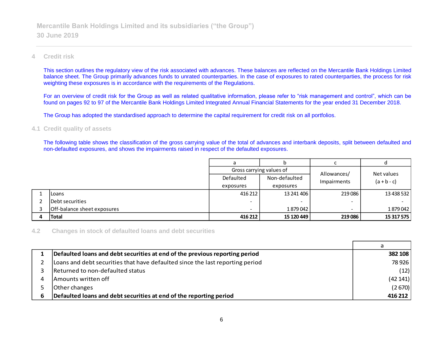## **4 Credit risk**

This section outlines the regulatory view of the risk associated with advances. These balances are reflected on the Mercantile Bank Holdings Limited balance sheet. The Group primarily advances funds to unrated counterparties. In the case of exposures to rated counterparties, the process for risk weighting these exposures is in accordance with the requirements of the Regulations.

For an overview of credit risk for the Group as well as related qualitative information, please refer to "risk management and control", which can be found on pages 92 to 97 of the Mercantile Bank Holdings Limited Integrated Annual Financial Statements for the year ended 31 December 2018.

The Group has adopted the standardised approach to determine the capital requirement for credit risk on all portfolios.

## **4.1 Credit quality of assets**

The following table shows the classification of the gross carrying value of the total of advances and interbank deposits, split between defaulted and non-defaulted exposures, and shows the impairments raised in respect of the defaulted exposures.

|  |                             | a                        |               |             |                             |
|--|-----------------------------|--------------------------|---------------|-------------|-----------------------------|
|  |                             | Gross carrying values of |               | Allowances/ |                             |
|  |                             | Defaulted                | Non-defaulted | Impairments | Net values<br>$(a + b - c)$ |
|  |                             | exposures                | exposures     |             |                             |
|  | <b>ILoans</b>               | 416 212                  | 13 241 406    | 219 086     | 13 438 532                  |
|  | Debt securities             |                          |               |             |                             |
|  | Off-balance sheet exposures |                          | 1879042       |             | 1879042                     |
|  | <b>Total</b>                | 416 212                  | 15 120 449    | 219 086     | 15 317 575                  |

**4.2 Changes in stock of defaulted loans and debt securities**

|   | Defaulted loans and debt securities at end of the previous reporting period   | 382 108 |
|---|-------------------------------------------------------------------------------|---------|
|   | Loans and debt securities that have defaulted since the last reporting period | 78926   |
|   | Returned to non-defaulted status                                              | (12)    |
| 4 | Amounts written off                                                           | (42141) |
|   | Other changes                                                                 | (2670)  |
|   | Defaulted loans and debt securities at end of the reporting period            | 416 212 |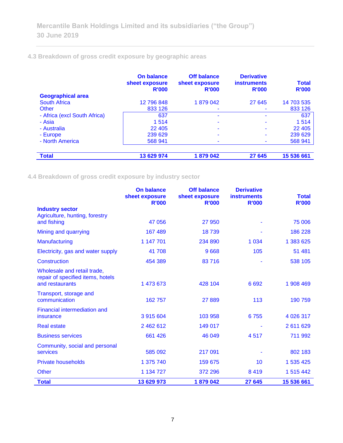# **4.3 Breakdown of gross credit exposure by geographic areas**

 $\overline{\phantom{a}}$ 

|                              | On balance<br>sheet exposure<br><b>R'000</b> | <b>Off balance</b><br>sheet exposure<br><b>R'000</b> | <b>Derivative</b><br><b>instruments</b><br><b>R'000</b> | <b>Total</b><br><b>R'000</b> |
|------------------------------|----------------------------------------------|------------------------------------------------------|---------------------------------------------------------|------------------------------|
| <b>Geographical area</b>     |                                              |                                                      |                                                         |                              |
| <b>South Africa</b>          | 12 796 848                                   | 1879042                                              | 27 645                                                  | 14 703 535                   |
| Other                        | 833 126                                      |                                                      |                                                         | 833 126                      |
| - Africa (excl South Africa) | 637                                          |                                                      | ۰                                                       | 637                          |
| - Asia                       | 1514                                         |                                                      |                                                         | 1514                         |
| - Australia                  | 22 4 0 5                                     | ۰                                                    | ۰                                                       | 22 4 0 5                     |
| - Europe                     | 239 629                                      |                                                      |                                                         | 239 629                      |
| - North America              | 568 941                                      |                                                      |                                                         | 568 941                      |
|                              |                                              |                                                      |                                                         |                              |
| <b>Total</b>                 | 13 629 974                                   | 1879042                                              | 27 645                                                  | 15 536 661                   |

**4.4 Breakdown of gross credit exposure by industry sector**

|                                                                                     | <b>On balance</b><br>sheet exposure | <b>Off balance</b><br>sheet exposure | <b>Derivative</b><br><b>instruments</b> | <b>Total</b> |
|-------------------------------------------------------------------------------------|-------------------------------------|--------------------------------------|-----------------------------------------|--------------|
| <b>Industry sector</b>                                                              | <b>R'000</b>                        | <b>R'000</b>                         | <b>R'000</b>                            | <b>R'000</b> |
| Agriculture, hunting, forestry                                                      |                                     |                                      |                                         |              |
| and fishing                                                                         | 47 056                              | 27 950                               |                                         | 75 006       |
| Mining and quarrying                                                                | 167 489                             | 18739                                |                                         | 186 228      |
| Manufacturing                                                                       | 1 147 701                           | 234 890                              | 1 0 3 4                                 | 1 383 625    |
| Electricity, gas and water supply                                                   | 41 708                              | 9668                                 | 105                                     | 51 481       |
| Construction                                                                        | 454 389                             | 83716                                |                                         | 538 105      |
| Wholesale and retail trade,<br>repair of specified items, hotels<br>and restaurants | 1 473 673                           | 428 104                              | 6692                                    | 1 908 469    |
| Transport, storage and                                                              |                                     |                                      |                                         |              |
| communication                                                                       | 162 757                             | 27 889                               | 113                                     | 190 759      |
| <b>Financial intermediation and</b><br>insurance                                    | 3 915 604                           | 103 958                              | 6755                                    | 4 0 26 317   |
| <b>Real estate</b>                                                                  | 2 462 612                           | 149 017                              |                                         | 2 611 629    |
| <b>Business services</b>                                                            | 661 426                             | 46 049                               | 4517                                    | 711 992      |
| Community, social and personal                                                      |                                     |                                      |                                         |              |
| <b>services</b>                                                                     | 585 092                             | 217 091                              |                                         | 802 183      |
| <b>Private households</b>                                                           | 1 375 740                           | 159 675                              | 10                                      | 1 535 425    |
| <b>Other</b>                                                                        | 1 134 727                           | 372 296                              | 8419                                    | 1 515 442    |
| <b>Total</b>                                                                        | 13 629 973                          | 1879042                              | 27 645                                  | 15 536 661   |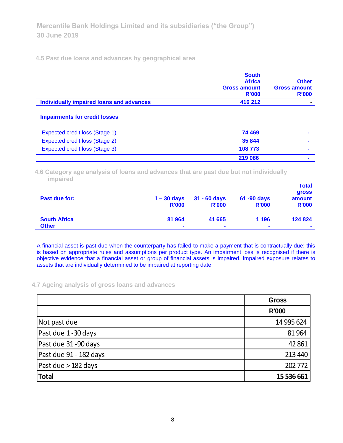**4.5 Past due loans and advances by geographical area**

|                                          | <b>South</b><br><b>Africa</b><br><b>Gross amount</b><br>R'000 | <b>Other</b><br><b>Gross amount</b><br>R'000 |
|------------------------------------------|---------------------------------------------------------------|----------------------------------------------|
| Individually impaired loans and advances | 416 212                                                       |                                              |
| <b>Impairments for credit losses</b>     |                                                               |                                              |
| Expected credit loss (Stage 1)           | 74 469                                                        |                                              |
| Expected credit loss (Stage 2)           | 35 844                                                        |                                              |
| Expected credit loss (Stage 3)           | 108 773                                                       |                                              |
|                                          | 219 086                                                       |                                              |

**4.6 Category age analysis of loans and advances that are past due but not individually impaired** 

| Past due for:       | $1 - 30$ days<br><b>R'000</b> | $31 - 60$ days<br><b>R'000</b> | 61 -90 days<br><b>R'000</b> | <b>Total</b><br>gross<br>amount<br><b>R'000</b> |
|---------------------|-------------------------------|--------------------------------|-----------------------------|-------------------------------------------------|
| <b>South Africa</b> | 81 964                        | 41 665                         | 1 1 9 6                     | 124 824                                         |
| <b>Other</b>        | $\blacksquare$                | $\blacksquare$                 | $\blacksquare$              | $\blacksquare$                                  |

A financial asset is past due when the counterparty has failed to make a payment that is contractually due; this is based on appropriate rules and assumptions per product type. An impairment loss is recognised if there is objective evidence that a financial asset or group of financial assets is impaired. Impaired exposure relates to assets that are individually determined to be impaired at reporting date.

**4.7 Ageing analysis of gross loans and advances**

|                        | <b>Gross</b> |
|------------------------|--------------|
|                        | <b>R'000</b> |
| Not past due           | 14 995 624   |
| Past due 1-30 days     | 81 964       |
| Past due 31-90 days    | 42 861       |
| Past due 91 - 182 days | 213 440      |
| Past due $>$ 182 days  | 202 772      |
| Total                  | 15 536 661   |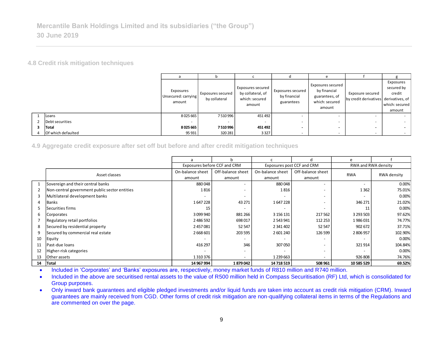**4.8 Credit risk mitigation techniques**

|                    |                                            |                                    |                                                                    |                                                 | $\epsilon$                                                                      |                                                           |                                                               |
|--------------------|--------------------------------------------|------------------------------------|--------------------------------------------------------------------|-------------------------------------------------|---------------------------------------------------------------------------------|-----------------------------------------------------------|---------------------------------------------------------------|
|                    | Exposures<br>Unsecured: carrying<br>amount | Exposures secured<br>by collateral | Exposures secured<br>by collateral, of<br>which: secured<br>amount | Exposures secured<br>by financial<br>guarantees | Exposures secured<br>by financial<br>guarantees, of<br>which: secured<br>amount | Exposure secured<br>by credit derivatives derivatives, of | Exposures<br>secured by<br>credit<br>which: secured<br>amount |
| Loans              | 8025665                                    | 7510996                            | 451492                                                             |                                                 |                                                                                 |                                                           | $\sim$                                                        |
| Debt securities    |                                            |                                    |                                                                    |                                                 |                                                                                 |                                                           | $\sim$                                                        |
| Total              | 8 0 25 6 65                                | 7510996                            | 451 492                                                            | -                                               | -                                                                               |                                                           | $\overline{\phantom{a}}$                                      |
| Of which defaulted | 95 931                                     | 320 281                            | 3 3 2 7                                                            |                                                 |                                                                                 |                                                           | $\sim$                                                        |

|                                     |                                                                                                                                                                                                                                                                                                                                                                                                                                                                                                                                                                                                                                              | a                                          |            | b                                  |         | $\mathsf{C}$                                                              | d                                               |  | e                      |  |                                                       | g           |  |  |                                           |                                                                                  |
|-------------------------------------|----------------------------------------------------------------------------------------------------------------------------------------------------------------------------------------------------------------------------------------------------------------------------------------------------------------------------------------------------------------------------------------------------------------------------------------------------------------------------------------------------------------------------------------------------------------------------------------------------------------------------------------------|--------------------------------------------|------------|------------------------------------|---------|---------------------------------------------------------------------------|-------------------------------------------------|--|------------------------|--|-------------------------------------------------------|-------------|--|--|-------------------------------------------|----------------------------------------------------------------------------------|
|                                     |                                                                                                                                                                                                                                                                                                                                                                                                                                                                                                                                                                                                                                              | Exposures<br>Unsecured: carrying<br>amount |            | Exposures secured<br>by collateral |         | <b>Exposures secured</b><br>by collateral, of<br>which: secured<br>amount | Exposures secured<br>by financial<br>guarantees |  | by financial<br>amount |  | Exposures secured<br>guarantees, of<br>which: secured |             |  |  | Exposure secured<br>by credit derivatives | Exposures<br>secured by<br>credit<br>derivatives, of<br>which: secured<br>amount |
| 1                                   | Loans                                                                                                                                                                                                                                                                                                                                                                                                                                                                                                                                                                                                                                        | 8 0 25 6 65                                |            | 7510996                            |         | 451 492                                                                   |                                                 |  |                        |  |                                                       |             |  |  |                                           |                                                                                  |
| $\overline{2}$                      | Debt securities                                                                                                                                                                                                                                                                                                                                                                                                                                                                                                                                                                                                                              |                                            |            |                                    |         |                                                                           |                                                 |  |                        |  |                                                       |             |  |  |                                           |                                                                                  |
| 3                                   | <b>Total</b>                                                                                                                                                                                                                                                                                                                                                                                                                                                                                                                                                                                                                                 | 8 0 25 6 65                                |            | 7510996                            |         | 451 492                                                                   |                                                 |  |                        |  |                                                       |             |  |  |                                           |                                                                                  |
|                                     | Of which defaulted                                                                                                                                                                                                                                                                                                                                                                                                                                                                                                                                                                                                                           | 95 931                                     |            | 320 281                            |         | 3 3 2 7                                                                   |                                                 |  |                        |  |                                                       |             |  |  |                                           |                                                                                  |
|                                     | 4.9 Aggregate credit exposure after set off but before and after credit mitigation techniques<br>$\mathsf b$<br>d<br>$\mathsf{C}$<br>e<br>a<br>Exposures before CCF and CRM                                                                                                                                                                                                                                                                                                                                                                                                                                                                  |                                            |            |                                    |         |                                                                           |                                                 |  |                        |  |                                                       |             |  |  |                                           |                                                                                  |
|                                     |                                                                                                                                                                                                                                                                                                                                                                                                                                                                                                                                                                                                                                              |                                            |            |                                    |         |                                                                           | Exposures post CCF and CRM                      |  |                        |  | RWA and RWA density                                   |             |  |  |                                           |                                                                                  |
|                                     | Asset classes                                                                                                                                                                                                                                                                                                                                                                                                                                                                                                                                                                                                                                | On-balance sheet                           |            | Off-balance sheet                  |         | On-balance sheet                                                          |                                                 |  | Off-balance sheet      |  | <b>RWA</b>                                            | RWA density |  |  |                                           |                                                                                  |
|                                     |                                                                                                                                                                                                                                                                                                                                                                                                                                                                                                                                                                                                                                              | amount                                     |            | amount                             |         | amount                                                                    |                                                 |  | amount                 |  |                                                       |             |  |  |                                           |                                                                                  |
| $\mathbf{1}$                        | Sovereign and their central banks                                                                                                                                                                                                                                                                                                                                                                                                                                                                                                                                                                                                            |                                            | 880048     |                                    |         |                                                                           | 880048                                          |  |                        |  |                                                       | 0.00%       |  |  |                                           |                                                                                  |
| $\overline{2}$                      | Non-central government public sector entities                                                                                                                                                                                                                                                                                                                                                                                                                                                                                                                                                                                                |                                            | 1816       |                                    |         |                                                                           | 1816                                            |  |                        |  | 1362                                                  | 75.01%      |  |  |                                           |                                                                                  |
| 3                                   | Multilateral development banks                                                                                                                                                                                                                                                                                                                                                                                                                                                                                                                                                                                                               |                                            |            |                                    |         |                                                                           |                                                 |  |                        |  |                                                       | 0.00%       |  |  |                                           |                                                                                  |
| Δ                                   | <b>Banks</b>                                                                                                                                                                                                                                                                                                                                                                                                                                                                                                                                                                                                                                 |                                            | 1647228    |                                    | 43 271  |                                                                           | 1647228                                         |  |                        |  | 346 271                                               | 21.02%      |  |  |                                           |                                                                                  |
| 5                                   | lSecurities firms                                                                                                                                                                                                                                                                                                                                                                                                                                                                                                                                                                                                                            |                                            | 15         |                                    |         |                                                                           |                                                 |  |                        |  | 11                                                    | 0.00%       |  |  |                                           |                                                                                  |
| 6                                   | Corporates                                                                                                                                                                                                                                                                                                                                                                                                                                                                                                                                                                                                                                   |                                            | 3 099 940  |                                    | 881 266 |                                                                           | 3 156 131                                       |  | 217 562                |  | 3 293 503                                             | 97.62%      |  |  |                                           |                                                                                  |
| 7                                   | Regulatory retail portfolios                                                                                                                                                                                                                                                                                                                                                                                                                                                                                                                                                                                                                 |                                            | 2 486 592  |                                    | 698017  |                                                                           | 2 543 941                                       |  | 112 253                |  | 1986031                                               | 74.77%      |  |  |                                           |                                                                                  |
| 8                                   | Secured by residential property                                                                                                                                                                                                                                                                                                                                                                                                                                                                                                                                                                                                              |                                            | 2 457 081  |                                    | 52 547  |                                                                           | 2 341 402                                       |  | 52 547                 |  | 902 672                                               | 37.71%      |  |  |                                           |                                                                                  |
| 9                                   | Secured by commercial real estate                                                                                                                                                                                                                                                                                                                                                                                                                                                                                                                                                                                                            |                                            | 2 668 601  |                                    | 203 595 |                                                                           | 2 601 240                                       |  | 126 599                |  | 2 806 957                                             | 102.90%     |  |  |                                           |                                                                                  |
| 10                                  | Equity                                                                                                                                                                                                                                                                                                                                                                                                                                                                                                                                                                                                                                       |                                            |            |                                    |         |                                                                           |                                                 |  |                        |  |                                                       | 0.00%       |  |  |                                           |                                                                                  |
| 11                                  | Past-due Ioans                                                                                                                                                                                                                                                                                                                                                                                                                                                                                                                                                                                                                               |                                            | 416 297    |                                    | 346     |                                                                           | 307 050                                         |  |                        |  | 321914                                                | 104.84%     |  |  |                                           |                                                                                  |
| 12                                  | Higher-risk categories                                                                                                                                                                                                                                                                                                                                                                                                                                                                                                                                                                                                                       |                                            |            |                                    |         |                                                                           |                                                 |  |                        |  |                                                       | 0.00%       |  |  |                                           |                                                                                  |
| 13                                  | Other assets                                                                                                                                                                                                                                                                                                                                                                                                                                                                                                                                                                                                                                 |                                            | 1310376    |                                    |         |                                                                           | 1 239 663                                       |  |                        |  | 926 808                                               | 74.76%      |  |  |                                           |                                                                                  |
| 14                                  | Total                                                                                                                                                                                                                                                                                                                                                                                                                                                                                                                                                                                                                                        |                                            | 14 967 994 |                                    | 1879042 |                                                                           | 14 718 519                                      |  | 508 961                |  | 10 585 529                                            | 69.52%      |  |  |                                           |                                                                                  |
| $\bullet$<br>$\bullet$<br>$\bullet$ | Included in 'Corporates' and 'Banks' exposures are, respectively, money market funds of R810 million and R740 million.<br>Included in the above are securitised rental assets to the value of R500 million held in Compass Securitisation (RF) Ltd, which is consolidated for<br>Group purposes.<br>Only inward bank guarantees and eligible pledged investments and/or liquid funds are taken into account as credit risk mitigation (CRM). Inward<br>guarantees are mainly received from CGD. Other forms of credit risk mitigation are non-qualifying collateral items in terms of the Regulations and<br>are commented on over the page. |                                            |            |                                    |         |                                                                           |                                                 |  |                        |  |                                                       |             |  |  |                                           |                                                                                  |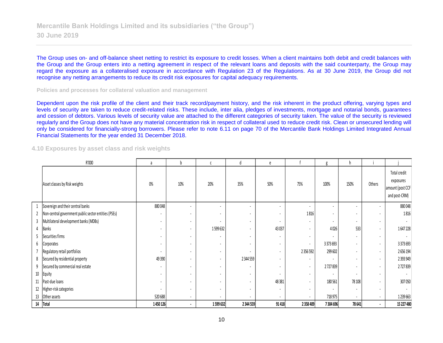The Group uses on- and off-balance sheet netting to restrict its exposure to credit losses. When a client maintains both debit and credit balances with the Group and the Group enters into a netting agreement in respect of the relevant loans and deposits with the said counterparty, the Group may regard the exposure as a collateralised exposure in accordance with Regulation 23 of the Regulations. As at 30 June 2019, the Group did not recognise any netting arrangements to reduce its credit risk exposures for capital adequacy requirements.

**Policies and processes for collateral valuation and management**

Dependent upon the risk profile of the client and their track record/payment history, and the risk inherent in the product offering, varying types and levels of security are taken to reduce credit-related risks. These include, inter alia, pledges of investments, mortgage and notarial bonds, guarantees and cession of debtors. Various levels of security value are attached to the different categories of security taken. The value of the security is reviewed regularly and the Group does not have any material concentration risk in respect of collateral used to reduce credit risk. Clean or unsecured lending will only be considered for financially-strong borrowers. Please refer to note 6.11 on page 70 of the Mercantile Bank Holdings Limited Integrated Annual Financial Statements for the year ended 31 December 2018.

#### **4.10 Exposures by asset class and risk weights**

|    | R'000                                                | a                        | b   |                          | d                        | e              |                          | g                        | h                        |                          |                                                                |
|----|------------------------------------------------------|--------------------------|-----|--------------------------|--------------------------|----------------|--------------------------|--------------------------|--------------------------|--------------------------|----------------------------------------------------------------|
|    | Asset classes by Risk weights                        | $0\%$                    | 10% | 20%                      | 35%                      | 50%            | 75%                      | 100%                     | 150%                     | Others                   | Total credit<br>exposures<br>amount (post CCF<br>and post-CRM) |
|    | Sovereign and their central banks                    | 880048                   |     |                          | ٠                        |                |                          |                          | ۰                        | $\overline{\phantom{a}}$ | 880048                                                         |
| 2  | Non-central government public sector entities (PSEs) |                          |     |                          |                          |                | 1816                     |                          | $\overline{\phantom{a}}$ | $\overline{\phantom{a}}$ | 1816                                                           |
| 3  | Multilateral development banks (MDBs)                |                          |     |                          | $\blacksquare$           |                |                          |                          | $\overline{\phantom{a}}$ | $\blacksquare$           |                                                                |
|    | Banks                                                |                          |     | 1599632                  |                          | 43037          |                          | 4026                     | 533                      | $\blacksquare$           | 1647228                                                        |
| 5  | Securities firms                                     |                          | ٠   |                          | $\overline{\phantom{a}}$ |                | $\overline{\phantom{a}}$ |                          | $\blacksquare$           | $\blacksquare$           |                                                                |
| 6  | Corporates                                           |                          |     |                          | $\overline{\phantom{a}}$ | $\sim$         | $\overline{\phantom{a}}$ | 3 3 7 3 6 9 3            | $\blacksquare$           | $\blacksquare$           | 3 373 693                                                      |
|    | Regulatory retail portfolios                         | $\overline{\phantom{a}}$ |     |                          | ٠                        | $\blacksquare$ | 2 3 5 6 5 9 2            | 299 602                  | $\blacksquare$           | $\blacksquare$           | 2656194                                                        |
| 8  | Secured by residential property                      | 49390                    | ۰.  | $\overline{\phantom{a}}$ | 2 344 559                | $\sim$         | $\overline{\phantom{a}}$ | ٠                        | $\overline{\phantom{a}}$ | $\blacksquare$           | 2 393 949                                                      |
| 9  | Secured by commercial real estate                    | $\blacksquare$           | ٠   |                          | ٠                        | $\blacksquare$ | $\sim$                   | 2727839                  | $\overline{\phantom{a}}$ | $\blacksquare$           | 2727839                                                        |
| 10 | Equity                                               |                          |     |                          | $\blacksquare$           | $\blacksquare$ | $\overline{\phantom{a}}$ | $\overline{\phantom{a}}$ | $\overline{\phantom{a}}$ | $\blacksquare$           | $\overline{\phantom{a}}$                                       |
|    | 11   Past-due loans                                  |                          |     |                          | ٠                        | 48381          | $\overline{\phantom{a}}$ | 180561                   | 78 108                   | $\overline{\phantom{a}}$ | 307 050                                                        |
|    | 12 Higher-risk categories                            |                          |     |                          | $\overline{\phantom{a}}$ | $\blacksquare$ | $\overline{\phantom{a}}$ |                          | $\overline{\phantom{a}}$ | $\blacksquare$           |                                                                |
| 13 | Other assets                                         | 520688                   |     |                          |                          |                | $\overline{\phantom{a}}$ | 718975                   | $\blacksquare$           | $\sim$                   | 1239663                                                        |
| 14 | Total                                                | 1450126                  |     | 1599632                  | 2 3 4 5 5 9              | 91418          | 2 3 5 8 4 0 9            | 7 304 696                | 78 641                   | $\blacksquare$           | 15 227 480                                                     |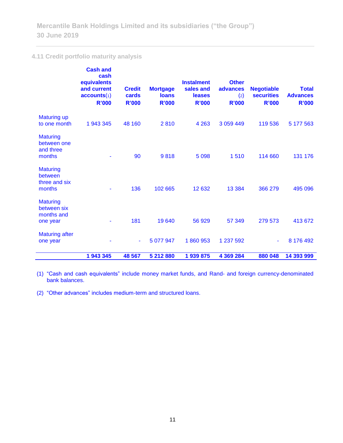# **4.11 Credit portfolio maturity analysis**

|                                                          | <b>Cash and</b><br>cash<br>equivalents<br>and current<br>accounts(1)<br><b>R'000</b> | <b>Credit</b><br>cards<br><b>R'000</b> | <b>Mortgage</b><br><b>loans</b><br><b>R'000</b> | <b>Instalment</b><br>sales and<br><b>leases</b><br><b>R'000</b> | <b>Other</b><br>advances<br>$\left( 2\right)$<br><b>R'000</b> | <b>Negotiable</b><br><b>securities</b><br><b>R'000</b> | <b>Total</b><br><b>Advances</b><br><b>R'000</b> |
|----------------------------------------------------------|--------------------------------------------------------------------------------------|----------------------------------------|-------------------------------------------------|-----------------------------------------------------------------|---------------------------------------------------------------|--------------------------------------------------------|-------------------------------------------------|
| <b>Maturing up</b><br>to one month                       | 1 943 345                                                                            | 48 160                                 | 2810                                            | 4 2 6 3                                                         | 3 0 59 4 4 9                                                  | 119 536                                                | 5 177 563                                       |
| <b>Maturing</b><br>between one<br>and three<br>months    |                                                                                      | 90                                     | 9818                                            | 5 0 98                                                          | 1510                                                          | 114 660                                                | 131 176                                         |
| <b>Maturing</b><br>between<br>three and six<br>months    |                                                                                      | 136                                    | 102 665                                         | 12 632                                                          | 13 3 84                                                       | 366 279                                                | 495 096                                         |
| <b>Maturing</b><br>between six<br>months and<br>one year |                                                                                      | 181                                    | 19 640                                          | 56 929                                                          | 57 349                                                        | 279 573                                                | 413 672                                         |
| <b>Maturing after</b><br>one year                        |                                                                                      | ٠                                      | 5 077 947                                       | 1860953                                                         | 1 237 592                                                     |                                                        | 8 176 492                                       |
|                                                          | 1 943 345                                                                            | 48 567                                 | 5 212 880                                       | 1 939 875                                                       | 4 369 284                                                     | 880 048                                                | 14 393 999                                      |

(1) "Cash and cash equivalents" include money market funds, and Rand- and foreign currency-denominated bank balances.

(2) "Other advances" includes medium-term and structured loans.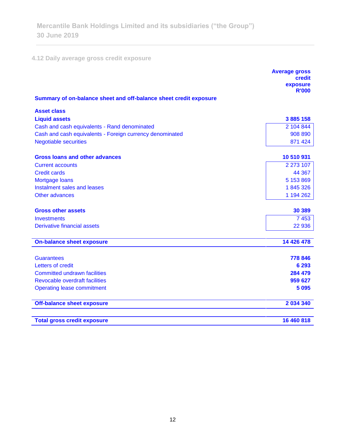# **4.12 Daily average gross credit exposure**

<u> Andreas Andreas (</u>

|                                                                   | <b>Average gross</b><br><b>credit</b><br>exposure |
|-------------------------------------------------------------------|---------------------------------------------------|
|                                                                   | <b>R'000</b>                                      |
| Summary of on-balance sheet and off-balance sheet credit exposure |                                                   |
| <b>Asset class</b>                                                |                                                   |
| <b>Liquid assets</b>                                              | 3 885 158                                         |
| Cash and cash equivalents - Rand denominated                      | 2 104 844                                         |
| Cash and cash equivalents - Foreign currency denominated          | 908 890                                           |
| <b>Negotiable securities</b>                                      | 871 424                                           |
| <b>Gross loans and other advances</b>                             | 10 510 931                                        |
| <b>Current accounts</b>                                           | 2 273 107                                         |
| <b>Credit cards</b>                                               | 44 367                                            |
| Mortgage loans                                                    | 5 153 869                                         |
| Instalment sales and leases                                       | 1845326                                           |
| Other advances                                                    | 1 194 262                                         |
| <b>Gross other assets</b>                                         | 30 389                                            |
| Investments                                                       | 7453                                              |
| <b>Derivative financial assets</b>                                | 22 936                                            |
| <b>On-balance sheet exposure</b>                                  | 14 426 478                                        |
|                                                                   |                                                   |
| <b>Guarantees</b>                                                 | 778 846                                           |
| Letters of credit                                                 | 6 2 9 3                                           |
| <b>Committed undrawn facilities</b>                               | 284 479                                           |
| <b>Revocable overdraft facilities</b>                             | 959 627                                           |
| <b>Operating lease commitment</b>                                 | 5 0 9 5                                           |
| <b>Off-balance sheet exposure</b>                                 | 2 034 340                                         |
| <b>Total gross credit exposure</b>                                | 16 460 818                                        |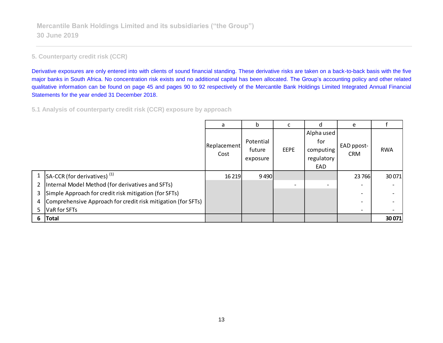# **5. Counterparty credit risk (CCR)**

Derivative exposures are only entered into with clients of sound financial standing. These derivative risks are taken on a back-to-back basis with the five major banks in South Africa. No concentration risk exists and no additional capital has been allocated. The Group's accounting policy and other related qualitative information can be found on page 45 and pages 90 to 92 respectively of the Mercantile Bank Holdings Limited Integrated Annual Financial Statements for the year ended 31 December 2018.

**5.1 Analysis of counterparty credit risk (CCR) exposure by approach**

|                |                                                                | a                   | b                               |             | d                                                   | e                        |            |
|----------------|----------------------------------------------------------------|---------------------|---------------------------------|-------------|-----------------------------------------------------|--------------------------|------------|
|                |                                                                | Replacement<br>Cost | Potential<br>future<br>exposure | <b>EEPE</b> | Alpha used<br>for<br>computing<br>regulatory<br>EAD | EAD ppost-<br><b>CRM</b> | <b>RWA</b> |
|                | 1 $\vert$ SA-CCR (for derivatives) <sup>(1)</sup>              | 16 2 19             | 9490                            |             |                                                     | 23 7 66                  | 30 0 71    |
| 2 <sub>1</sub> | Internal Model Method (for derivatives and SFTs)               |                     |                                 |             | $\overline{\phantom{0}}$                            | $\overline{\phantom{a}}$ |            |
| 3              | Simple Approach for credit risk mitigation (for SFTs)          |                     |                                 |             |                                                     | $\overline{\phantom{0}}$ |            |
|                | 4 Comprehensive Approach for credit risk mitigation (for SFTs) |                     |                                 |             |                                                     | $\overline{\phantom{0}}$ |            |
| 5.             | VaR for SFTs                                                   |                     |                                 |             |                                                     | $\overline{\phantom{0}}$ |            |
| 6.             | <b>Total</b>                                                   |                     |                                 |             |                                                     |                          | 30 071     |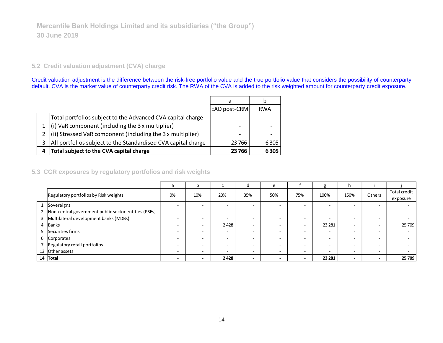## **5.2 Credit valuation adjustment (CVA) charge**

Credit valuation adjustment is the difference between the risk-free portfolio value and the true portfolio value that considers the possibility of counterparty default. CVA is the market value of counterparty credit risk. The RWA of the CVA is added to the risk weighted amount for counterparty credit exposure.

|   |                                                               | a                   | b          |
|---|---------------------------------------------------------------|---------------------|------------|
|   |                                                               | <b>EAD post-CRM</b> | <b>RWA</b> |
|   | Total portfolios subject to the Advanced CVA capital charge   | -                   |            |
|   | $(i)$ VaR component (including the 3 x multiplier)            | -                   |            |
|   | (ii) Stressed VaR component (including the 3 x multiplier)    | -                   |            |
|   | All portfolios subject to the Standardised CVA capital charge | 23 766              | 6 3 0 5    |
| 4 | Total subject to the CVA capital charge                       | 23766               | 6305       |

# **5.3 CCR exposures by regulatory portfolios and risk weights**

|   |                                                          | a                        | b      | L    | O                        | e                        |     |         | h.                       |                          |                          |
|---|----------------------------------------------------------|--------------------------|--------|------|--------------------------|--------------------------|-----|---------|--------------------------|--------------------------|--------------------------|
|   | Regulatory portfolios by Risk weights                    | 0%                       | 10%    | 20%  | 35%                      | 50%                      | 75% | 100%    | 150%                     | Others                   | Total credit<br>exposure |
|   | Sovereigns                                               | $\overline{\phantom{0}}$ | $\sim$ | ۰    |                          |                          | -   |         | $\overline{\phantom{a}}$ | $\sim$                   |                          |
|   | 2   Non-central government public sector entities (PSEs) | -                        |        | ۰    | -                        |                          |     | $\sim$  | -                        |                          |                          |
|   | Multilateral development banks (MDBs)                    | $\overline{\phantom{0}}$ |        | ۰    | -                        |                          | -   | $\sim$  | $\overline{\phantom{a}}$ | $\overline{\phantom{0}}$ |                          |
| 4 | Banks                                                    | <b>.</b>                 |        | 2428 | -                        |                          |     | 23 28 1 | -                        | -                        | 25 709                   |
|   | Securities firms                                         | $\overline{\phantom{a}}$ | -      | -    | -                        |                          |     |         | -                        |                          |                          |
|   | 6 Corporates                                             |                          |        | ۰    | -                        |                          |     |         |                          |                          |                          |
|   | Regulatory retail portfolios                             | $\overline{\phantom{a}}$ |        | ۰    | -                        |                          |     | $\sim$  | -                        | -                        |                          |
|   | 13 Other assets                                          |                          |        | -    |                          |                          | -   | $\sim$  | -                        | $\sim$                   |                          |
|   | 14 Total                                                 | $\overline{\phantom{0}}$ | ۰      | 2428 | $\overline{\phantom{0}}$ | $\overline{\phantom{0}}$ |     | 23 281  | $\overline{\phantom{0}}$ | $\overline{\phantom{0}}$ | 25 709                   |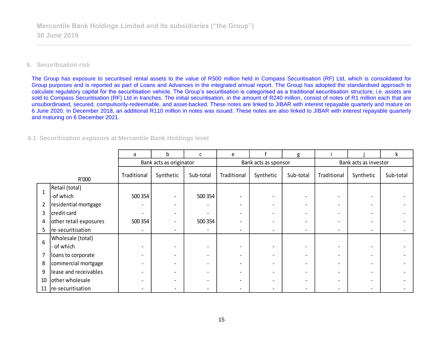## **6. Securitisation risk**

The Group has exposure to securitised rental assets to the value of R500 million held in Compass Securitisation (RF) Ltd, which is consolidated for Group purposes and is reported as part of Loans and Advances in the integrated annual report. The Group has adopted the standardised approach to calculate regulatory capital for the securitisation vehicle. The Group's securitisation is categorised as a traditional securitisation structure, i.e. assets are sold to Compass Securitisation (RF) Ltd in tranches. The initial securitisation, in the amount of R240 million, consist of notes of R1 million each that are unsubordinated, secured, compulsorily-redeemable, and asset-backed. These notes are linked to JIBAR with interest repayable quarterly and mature on 6 June 2020. In December 2018, an additional R110 million in notes was issued. These notes are also linked to JIBAR with interest repayable quarterly and maturing on 6 December 2021.

#### **6.1 Securitisation exposure at Mercantile Bank Holdings level**

|                |                        | a           | <sub>b</sub>            | c                        | e                        |                          | g                            |                          |                          | k         |  |
|----------------|------------------------|-------------|-------------------------|--------------------------|--------------------------|--------------------------|------------------------------|--------------------------|--------------------------|-----------|--|
|                |                        |             | Bank acts as originator |                          |                          | Bank acts as sponsor     |                              | Bank acts as investor    |                          |           |  |
|                | R'000                  | Traditional | Synthetic               | Sub-total                | Traditional              | Synthetic                | Sub-total                    | Traditional              | Synthetic                | Sub-total |  |
| $\mathbf{1}$   | Retail (total)         |             |                         |                          |                          |                          |                              |                          |                          |           |  |
|                | -of which              | 500 354     |                         | 500 354                  | $\overline{\phantom{0}}$ | $\overline{\phantom{0}}$ | $\overline{\phantom{0}}$     |                          |                          |           |  |
| $\overline{2}$ | residential mortgage   |             |                         |                          | $\overline{\phantom{0}}$ |                          | $\overline{\phantom{a}}$     |                          |                          |           |  |
| 3              | credit card            |             |                         |                          | $\overline{\phantom{0}}$ |                          | $\qquad \qquad \blacksquare$ | $\overline{\phantom{0}}$ |                          |           |  |
| 4              | other retail exposures | 500 354     |                         | 500 354                  | -                        |                          | $\qquad \qquad \blacksquare$ |                          |                          |           |  |
| 5.             | re-securitisation      | ٠           |                         | ٠                        | $\overline{\phantom{a}}$ | -                        | $\overline{\phantom{a}}$     | $\overline{\phantom{a}}$ | $\overline{\phantom{a}}$ |           |  |
| 6              | Wholesale (total)      |             |                         |                          |                          |                          |                              |                          |                          |           |  |
|                | - of which             |             |                         |                          | $\overline{\phantom{0}}$ |                          | $\qquad \qquad \blacksquare$ |                          |                          |           |  |
| 7              | loans to corporate     |             |                         | $\overline{\phantom{0}}$ | $\overline{\phantom{a}}$ |                          | $\overline{\phantom{a}}$     | $\overline{\phantom{0}}$ |                          |           |  |
| 8              | commercial mortgage    |             |                         | $\overline{\phantom{0}}$ | -                        |                          | $\overline{\phantom{a}}$     |                          |                          |           |  |
| 9              | lease and receivables  |             |                         |                          |                          |                          | $\qquad \qquad \blacksquare$ |                          |                          |           |  |
| 10             | other wholesale        |             |                         |                          | $\overline{\phantom{0}}$ |                          | $\qquad \qquad \blacksquare$ |                          |                          |           |  |
|                | 11   re-securitisation |             |                         | $\overline{\phantom{0}}$ | $\qquad \qquad -$        |                          | $\qquad \qquad \blacksquare$ |                          |                          |           |  |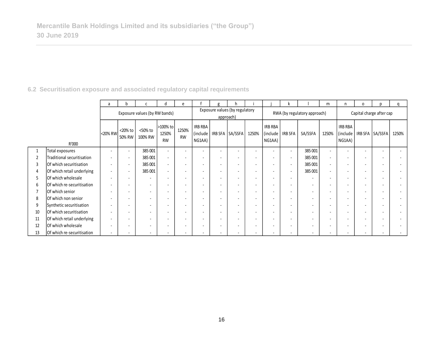# **6.2 Securitisation exposure and associated regulatory capital requirements**

|                |                            | a                        | h                        |                               | d                              | e                        |                                       | g                                           |                          |                          |                                              |                              |                          | m                        | n                                    | 0                        | n                        | α     |  |
|----------------|----------------------------|--------------------------|--------------------------|-------------------------------|--------------------------------|--------------------------|---------------------------------------|---------------------------------------------|--------------------------|--------------------------|----------------------------------------------|------------------------------|--------------------------|--------------------------|--------------------------------------|--------------------------|--------------------------|-------|--|
|                |                            |                          |                          | Exposure values (by RW bands) |                                |                          |                                       | Exposure values (by regulatory<br>approach) |                          |                          |                                              | RWA (by regulatory approach) |                          |                          |                                      | Capital charge after cap |                          |       |  |
|                | R'000                      | <20% RW                  | <20% to<br>50% RW        | <50% to<br>100% RW            | >100% to<br>1250%<br><b>RW</b> | 1250%<br><b>RW</b>       | <b>IRB RBA</b><br>(include)<br>NG1AA) |                                             | IRB SFA SA/SSFA          | 1250%                    | <b>IRB RBA</b><br>(include IRB SFA<br>NG1AA) |                              | SA/SSFA                  | 1250%                    | <b>IRB RBA</b><br>(include<br>NG1AA) |                          | IRB SFA SA/SSFA          | 1250% |  |
| $\mathbf{1}$   | Total exposures            | $\overline{\phantom{a}}$ | $\overline{\phantom{a}}$ | 385 001                       | $\sim$                         |                          | $\overline{a}$                        |                                             |                          |                          | $\overline{\phantom{0}}$                     |                              | 385 001                  | $\overline{\phantom{a}}$ | $\overline{a}$                       | $\overline{\phantom{a}}$ |                          |       |  |
| $\overline{2}$ | Traditional securitisation | $\overline{\phantom{a}}$ | $\overline{\phantom{a}}$ | 385 001                       | $\sim$                         | $\overline{\phantom{a}}$ | $\overline{\phantom{a}}$              | $\overline{\phantom{a}}$                    | $\overline{\phantom{a}}$ | $\overline{\phantom{a}}$ |                                              | $\overline{\phantom{a}}$     | 385 001                  | $\overline{\phantom{a}}$ | $\overline{a}$                       | $\overline{\phantom{a}}$ |                          |       |  |
| 3              | Of which securitisation    | $\overline{\phantom{a}}$ | $\overline{\phantom{a}}$ | 385 001                       | $\sim$                         | $\overline{\phantom{a}}$ | $\overline{\phantom{a}}$              |                                             |                          |                          |                                              |                              | 385 001                  | $\overline{\phantom{a}}$ |                                      | ٠                        |                          |       |  |
| 4              | Of which retail underlying | $\sim$                   | $\overline{\phantom{a}}$ | 385 001                       | $\sim$                         | $\overline{a}$           | $\overline{\phantom{a}}$              | $\overline{a}$                              |                          |                          |                                              |                              | 385 001                  | $\overline{\phantom{a}}$ |                                      | ٠                        |                          |       |  |
| 5              | Of which wholesale         | $\overline{\phantom{a}}$ | $\sim$                   |                               |                                |                          | $\overline{\phantom{a}}$              |                                             |                          |                          |                                              |                              | $\sim$                   | $\overline{\phantom{a}}$ |                                      | ٠                        |                          |       |  |
| 6              | Of which re-securitisation | $\overline{\phantom{a}}$ | $\overline{\phantom{a}}$ |                               |                                |                          | $\overline{\phantom{a}}$              |                                             |                          |                          |                                              |                              | $\sim$                   | $\overline{\phantom{a}}$ | $\overline{a}$                       | $\overline{\phantom{a}}$ |                          |       |  |
| 7              | Of which senior            | $\sim$                   |                          | $\overline{\phantom{a}}$      |                                |                          | $\overline{\phantom{a}}$              | $\overline{a}$                              | $\overline{\phantom{a}}$ |                          | $\overline{\phantom{0}}$                     |                              | $\overline{a}$           | $\overline{a}$           |                                      | $\overline{\phantom{a}}$ |                          |       |  |
| 8              | Of which non senior        | $\sim$                   | $\sim$                   | $\sim$                        | $\overline{\phantom{a}}$       | $\overline{\phantom{0}}$ | $\overline{\phantom{a}}$              | $\overline{a}$                              | $\overline{\phantom{a}}$ | $\overline{\phantom{a}}$ | $\overline{a}$                               |                              | $\sim$                   | $\overline{\phantom{a}}$ | $\overline{a}$                       | ٠                        | $\overline{\phantom{a}}$ |       |  |
| 9              | Synthetic securitisation   | $\overline{\phantom{a}}$ | $\overline{\phantom{a}}$ | $\sim$                        | $\overline{\phantom{a}}$       | $\overline{\phantom{a}}$ | $\overline{\phantom{a}}$              | $\overline{\phantom{a}}$                    | $\overline{\phantom{a}}$ | $\overline{\phantom{a}}$ | ٠                                            | $\overline{\phantom{0}}$     | $\overline{\phantom{a}}$ | $\overline{\phantom{a}}$ | $\overline{a}$                       | $\overline{\phantom{a}}$ | $\overline{\phantom{a}}$ |       |  |
| 10             | Of which securitisation    | $\overline{\phantom{a}}$ | $\overline{\phantom{a}}$ | $\overline{\phantom{a}}$      |                                |                          | $\overline{\phantom{a}}$              | $\overline{\phantom{0}}$                    |                          |                          |                                              |                              | $\sim$                   | $\overline{\phantom{a}}$ | $\overline{a}$                       | $\overline{\phantom{a}}$ |                          |       |  |
| 11             | Of which retail underlying | $\overline{\phantom{a}}$ | $\overline{\phantom{a}}$ | $\overline{\phantom{a}}$      | $\overline{\phantom{a}}$       | $\overline{\phantom{0}}$ | $\sim$                                | $\overline{a}$                              | $\overline{\phantom{a}}$ | $\overline{\phantom{a}}$ | $\overline{\phantom{a}}$                     |                              | $\sim$                   | $\overline{\phantom{a}}$ | $\overline{a}$                       | $\overline{\phantom{a}}$ |                          |       |  |
| 12             | Of which wholesale         | $\overline{\phantom{a}}$ | $\overline{\phantom{a}}$ |                               |                                | $\overline{\phantom{a}}$ | $\overline{\phantom{a}}$              | $\overline{a}$                              |                          |                          | $\overline{\phantom{0}}$                     |                              | $\overline{a}$           | $\overline{a}$           | $\overline{a}$                       | $\overline{\phantom{a}}$ |                          |       |  |
| 13             | Of which re-securitisation | $\sim$                   |                          |                               |                                |                          |                                       |                                             |                          |                          |                                              |                              |                          |                          |                                      |                          |                          |       |  |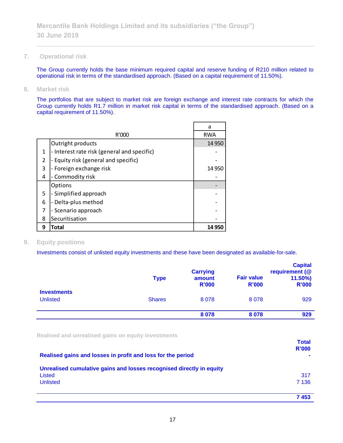**7. Operational risk**

The Group currently holds the base minimum required capital and reserve funding of R210 million related to operational risk in terms of the standardised approach. (Based on a capital requirement of 11.50%).

**8. Market risk**

The portfolios that are subject to market risk are foreign exchange and interest rate contracts for which the Group currently holds R1.7 million in market risk capital in terms of the standardised approach. (Based on a capital requirement of 11.50%).

|                |                                             | a          |
|----------------|---------------------------------------------|------------|
|                | R'000                                       | <b>RWA</b> |
|                | Outright products                           | 14 9 50    |
| 1              | - Interest rate risk (general and specific) |            |
| $\overline{2}$ | - Equity risk (general and specific)        |            |
| 3              | - Foreign exchange risk                     | 14 9 50    |
| 4              | - Commodity risk                            |            |
|                | Options                                     |            |
| 5              | - Simplified approach                       |            |
| 6              | Delta-plus method                           |            |
| 7              | - Scenario approach                         |            |
| 8              | Securitisation                              |            |
| 9              | Total                                       | 14 950     |

## **9. Equity positions**

Investments consist of unlisted equity investments and these have been designated as available-for-sale.

|                                       | <b>Type</b>   | <b>Carrying</b><br>amount<br><b>R'000</b> | <b>Fair value</b><br><b>R'000</b> | <b>Capital</b><br>requirement (@<br>$11.50\%$<br><b>R'000</b> |
|---------------------------------------|---------------|-------------------------------------------|-----------------------------------|---------------------------------------------------------------|
| <b>Investments</b><br><b>Unlisted</b> | <b>Shares</b> | 8078                                      | 8078                              | 929                                                           |
|                                       |               | 8 0 7 8                                   | 8078                              | 929                                                           |

**Realised and unrealised gains on equity investments**

| Realised gains and losses in profit and loss for the period                    | <b>Total</b><br><b>R'000</b> |
|--------------------------------------------------------------------------------|------------------------------|
| Unrealised cumulative gains and losses recognised directly in equity<br>Listed | 317                          |
| <b>Unlisted</b>                                                                | 7 1 3 6<br>7453              |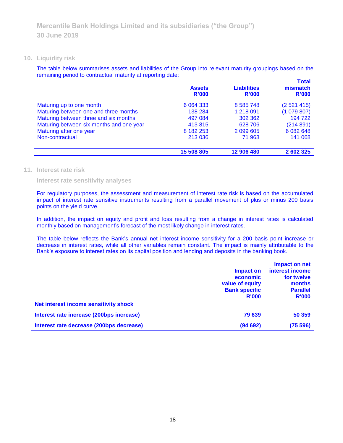#### **10. Liquidity risk**

The table below summarises assets and liabilities of the Group into relevant maturity groupings based on the remaining period to contractual maturity at reporting date: **Total**

|                                          | <b>Assets</b><br>R'000 | <b>Liabilities</b><br>R'000 | <u>l otali</u><br>mismatch<br>R'000 |
|------------------------------------------|------------------------|-----------------------------|-------------------------------------|
| Maturing up to one month                 | 6 0 64 3 33            | 8 5 8 5 7 4 8               | (2521415)                           |
| Maturing between one and three months    | 138 284                | 1 218 091                   | (1079807)                           |
| Maturing between three and six months    | 497 084                | 302 362                     | 194 722                             |
| Maturing between six months and one year | 413815                 | 628 706                     | (214891)                            |
| Maturing after one year                  | 8 182 253              | 2 099 605                   | 6 0 8 2 6 4 8                       |
| Non-contractual                          | 213 036                | 71 968                      | 141 068                             |
|                                          | 15 508 805             | 12 906 480                  | 2 602 325                           |

#### **11. Interest rate risk**

**Interest rate sensitivity analyses**

For regulatory purposes, the assessment and measurement of interest rate risk is based on the accumulated impact of interest rate sensitive instruments resulting from a parallel movement of plus or minus 200 basis points on the yield curve.

In addition, the impact on equity and profit and loss resulting from a change in interest rates is calculated monthly based on management's forecast of the most likely change in interest rates.

The table below reflects the Bank's annual net interest income sensitivity for a 200 basis point increase or decrease in interest rates, while all other variables remain constant. The impact is mainly attributable to the Bank's exposure to interest rates on its capital position and lending and deposits in the banking book.

| Net interest income sensitivity shock    | Impact on<br>economic<br>value of equity<br><b>Bank specific</b><br><b>R'000</b> | Impact on net<br>interest income<br>for twelve<br>months<br><b>Parallel</b><br><b>R'000</b> |
|------------------------------------------|----------------------------------------------------------------------------------|---------------------------------------------------------------------------------------------|
| Interest rate increase (200bps increase) | 79 639                                                                           | 50 359                                                                                      |
| Interest rate decrease (200bps decrease) | (94692)                                                                          | (75 596)                                                                                    |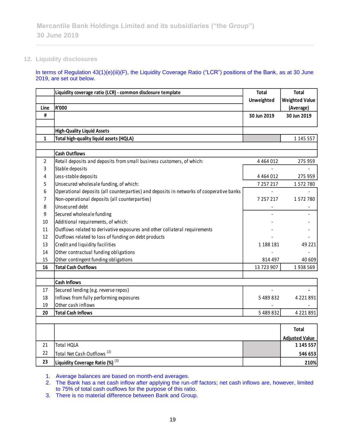## **12. Liquidity disclosures**

#### In terms of Regulation 43(1)(e)(iii)(F), the Liquidity Coverage Ratio ("LCR") positions of the Bank, as at 30 June 2019, are set out below.

|                | Liquidity coverage ratio (LCR) - common disclosure template                             | <b>Total</b>             | <b>Total</b>          |
|----------------|-----------------------------------------------------------------------------------------|--------------------------|-----------------------|
|                |                                                                                         | Unweighted               | <b>Weighted Value</b> |
| Line           | <b>R'000</b>                                                                            |                          | (Average)             |
| #              |                                                                                         | 30 Jun 2019              | 30 Jun 2019           |
|                |                                                                                         |                          |                       |
|                | <b>High-Quality Liquid Assets</b>                                                       |                          |                       |
| $\mathbf{1}$   | Total high-quality liquid assets (HQLA)                                                 |                          | 1 145 557             |
|                |                                                                                         |                          |                       |
|                | <b>Cash Outflows</b>                                                                    |                          |                       |
| $\overline{2}$ | Retail deposits and deposits from small business customers, of which:                   | 4 4 6 4 0 1 2            | 275 959               |
| 3              | Stable deposits                                                                         |                          |                       |
| 4              | Less-stable deposits                                                                    | 4 4 6 4 0 1 2            | 275 959               |
| 5              | Unsecured wholesale funding, of which:                                                  | 7 257 217                | 1572780               |
| 6              | Operational deposits (all counterparties) and deposits in networks of cooperative banks |                          |                       |
| 7              | Non-operational deposits (all counterparties)                                           | 7 257 217                | 1572780               |
| 8              | Unsecured debt                                                                          |                          |                       |
| 9              | Secured wholesale funding                                                               |                          |                       |
| 10             | Additional requirements, of which:                                                      |                          |                       |
| 11             | Outflows related to derivative exposures and other collateral requirements              |                          |                       |
| 12             | Outflows related to loss of funding on debt products                                    |                          |                       |
| 13             | Credit and liquidity facilities                                                         | 1 188 181                | 49 2 2 1              |
| 14             | Other contractual funding obligations                                                   |                          |                       |
| 15             | Other contingent funding obligations                                                    | 814 497                  | 40 609                |
| 16             | <b>Total Cash Outflows</b>                                                              | 13 723 907               | 1938569               |
|                |                                                                                         |                          |                       |
|                | <b>Cash Inflows</b>                                                                     |                          |                       |
| 17             | Secured lending (e.g. reverse repos)                                                    | $\overline{\phantom{a}}$ |                       |
| 18             | Inflows from fully performing exposures                                                 | 5489832                  | 4 2 2 1 8 9 1         |
| 19             | Other cash inflows                                                                      |                          |                       |
| 20             | <b>Total Cash Inflows</b>                                                               | 5 489 832                | 4 2 2 1 8 9 1         |
|                |                                                                                         |                          |                       |
|                |                                                                                         |                          | Total                 |
|                |                                                                                         |                          | <b>Adjusted Value</b> |
| 21             | <b>Total HQLA</b>                                                                       |                          | 1 145 557             |
| 22             | Total Net Cash Outflows <sup>(2)</sup>                                                  |                          | 546 653               |
| 23             | Liquidity Coverage Ratio (%) (3)                                                        |                          | 210%                  |

1. Average balances are based on month-end averages.

2. The Bank has a net cash inflow after applying the run-off factors; net cash inflows are, however, limited to 75% of total cash outflows for the purpose of this ratio.

3. There is no material difference between Bank and Group.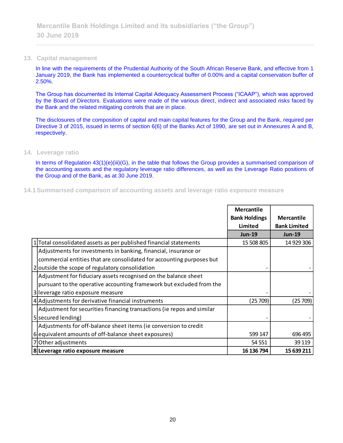#### **13. Capital management**

In line with the requirements of the Prudential Authority of the South African Reserve Bank, and effective from 1 January 2019, the Bank has implemented a countercyclical buffer of 0.00% and a capital conservation buffer of 2.50%.

The Group has documented its Internal Capital Adequacy Assessment Process ("ICAAP"), which was approved by the Board of Directors. Evaluations were made of the various direct, indirect and associated risks faced by the Bank and the related mitigating controls that are in place.

The disclosures of the composition of capital and main capital features for the Group and the Bank, required per Directive 3 of 2015, issued in terms of section 6(6) of the Banks Act of 1990, are set out in Annexures A and B, respectively.

#### **14. Leverage ratio**

In terms of Regulation 43(1)(e)(iii)(G), in the table that follows the Group provides a summarised comparison of the accounting assets and the regulatory leverage ratio differences, as well as the Leverage Ratio positions of the Group and of the Bank, as at 30 June 2019.

**14.1Summarised comparison of accounting assets and leverage ratio exposure measure**

|                                                                        | <b>Mercantile</b>    |                     |
|------------------------------------------------------------------------|----------------------|---------------------|
|                                                                        | <b>Bank Holdings</b> | <b>Mercantile</b>   |
|                                                                        | Limited              | <b>Bank Limited</b> |
|                                                                        | <b>Jun-19</b>        | <b>Jun-19</b>       |
| Total consolidated assets as per published financial statements        | 15 508 805           | 14 929 306          |
| Adjustments for investments in banking, financial, insurance or        |                      |                     |
| commercial entities that are consolidated for accounting purposes but  |                      |                     |
| 2 outside the scope of regulatory consolidation                        |                      |                     |
| Adjustment for fiduciary assets recognised on the balance sheet        |                      |                     |
| pursuant to the operative accounting framework but excluded from the   |                      |                     |
| 3 leverage ratio exposure measure                                      |                      |                     |
| 4 Adjustments for derivative financial instruments                     | (25 709)             | (25 709)            |
| Adjustment for securities financing transactions (ie repos and similar |                      |                     |
| 5 secured lending)                                                     |                      |                     |
| Adjustments for off-balance sheet items (ie conversion to credit       |                      |                     |
| 6 equivalent amounts of off-balance sheet exposures)                   | 599 147              | 696 495             |
| 7 Other adjustments                                                    | 54 551               | 39 119              |
| 8 Leverage ratio exposure measure                                      | 16 136 794           | 15 639 211          |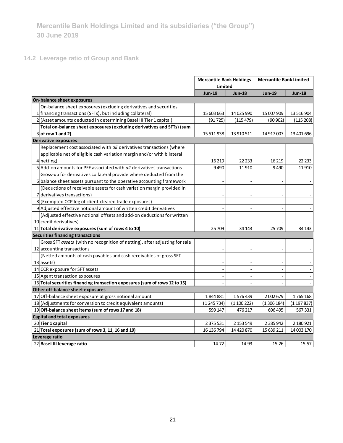# **14.2 Leverage ratio of Group and Bank**

 $\overline{\phantom{0}}$ 

|                                                                             | <b>Mercantile Bank Holdings</b> |               | <b>Mercantile Bank Limited</b> |               |
|-----------------------------------------------------------------------------|---------------------------------|---------------|--------------------------------|---------------|
|                                                                             | Limited                         |               |                                |               |
|                                                                             | <b>Jun-19</b>                   | <b>Jun-18</b> | <b>Jun-19</b>                  | <b>Jun-18</b> |
| On-balance sheet exposures                                                  |                                 |               |                                |               |
| On-balance sheet exposures (excluding derivatives and securities            |                                 |               |                                |               |
| 1 financing transactions (SFTs), but including collateral)                  | 15 603 663                      | 14 025 990    | 15 007 909                     | 13 516 904    |
| 2 (Asset amounts deducted in determining Basel III Tier 1 capital)          | (91725)                         | (115 479)     | (90 902)                       | (115 208)     |
| Total on-balance sheet exposures (excluding derivatives and SFTs) (sum      |                                 |               |                                |               |
| $3$ of row 1 and 2)                                                         | 15 511 938                      | 13 910 511    | 14 917 007                     | 13 401 696    |
| <b>Derivative exposures</b>                                                 |                                 |               |                                |               |
| Replacement cost associated with all derivatives transactions (where        |                                 |               |                                |               |
| applicable net of eligible cash variation margin and/or with bilateral      |                                 |               |                                |               |
| 4 netting)                                                                  | 16 219                          | 22 2 33       | 16 2 19                        | 22 2 33       |
| 5 Add-on amounts for PFE associated with all derivatives transactions       | 9490                            | 11910         | 9490                           | 11910         |
| Gross-up for derivatives collateral provide where deducted from the         |                                 |               |                                |               |
| 6 balance sheet assets pursuant to the operative accounting framework       |                                 |               |                                |               |
| (Deductions of receivable assets for cash variation margin provided in      |                                 |               |                                |               |
| 7 derivatives transactions)                                                 |                                 |               |                                |               |
| 8 (Exempted CCP leg of client-cleared trade exposures)                      |                                 |               |                                |               |
| 9 Adjusted effective notional amount of written credit derivatives          |                                 |               |                                |               |
| (Adjusted effective notional offsets and add-on deductions for written      |                                 |               |                                |               |
| 10 credit derivatives)                                                      |                                 |               |                                |               |
| 11 Total derivative exposures (sum of rows 4 to 10)                         | 25 709                          | 34 143        | 25 709                         | 34 143        |
| Securities financing transactions                                           |                                 |               |                                |               |
| Gross SFT assets (with no recognition of netting), after adjusting for sale |                                 |               |                                |               |
| 12 accounting transactions                                                  |                                 |               |                                |               |
| (Netted amounts of cash payables and cash receivables of gross SFT          |                                 |               |                                |               |
| 13 assets)                                                                  |                                 |               |                                |               |
| 14 CCR exposure for SFT assets                                              | $\overline{a}$                  | ÷,            | $\blacksquare$                 |               |
| 15 Agent transaction exposures                                              |                                 |               |                                |               |
| 16 Total securities financing transaction exposures (sum of rows 12 to 15)  |                                 |               |                                |               |
| Other off-balance sheet exposures                                           |                                 |               |                                |               |
| 17 Off-balance sheet exposure at gross notional amount                      | 1844881                         | 1576439       | 2 002 679                      | 1765168       |
| 18 (Adjustments for conversion to credit equivalent amounts)                | (1245734)                       | (1100222)     | (1306184)                      | (1 197 837)   |
| 19 Off-balance sheet items (sum of rows 17 and 18)                          | 599 147                         | 476 217       | 696 495                        | 567331        |
| <b>Capital and total exposures</b>                                          |                                 |               |                                |               |
| 20 Tier 1 capital                                                           | 2 375 531                       | 2 153 549     | 2 3 8 5 9 4 2                  | 2 180 921     |
| 21 Total exposures (sum of rows 3, 11, 16 and 19)                           | 16 136 794                      | 14 420 870    | 15 639 211                     | 14 003 170    |
| Leverage ratio                                                              |                                 |               |                                |               |
| 22 Basel III leverage ratio                                                 | 14.72                           | 14.93         | 15.26                          | 15.57         |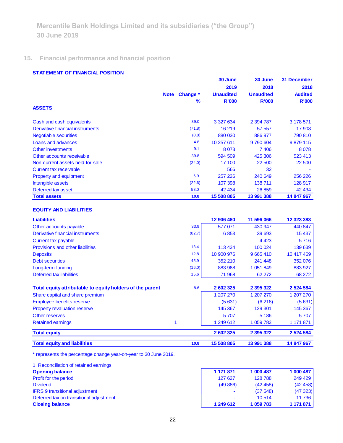# **15. Financial performance and financial position**

#### **STATEMENT OF FINANCIAL POSITION**

| <u>STATEMENT VE FINANSIAE FOSITION</u> |             |          | 30 June          | 30 June          | <b>31 December</b> |
|----------------------------------------|-------------|----------|------------------|------------------|--------------------|
|                                        |             |          | 2019             | 2018             | 2018               |
|                                        | <b>Note</b> | Change * | <b>Unaudited</b> | <b>Unaudited</b> | <b>Audited</b>     |
|                                        |             | %        | <b>R'000</b>     | <b>R'000</b>     | <b>R'000</b>       |
| <b>ASSETS</b>                          |             |          |                  |                  |                    |
| Cash and cash equivalents              |             | 39.0     | 3 327 634        | 2 394 787        | 3 178 571          |
| Derivative financial instruments       |             | (71.8)   | 16 219           | 57 557           | 17 903             |
| <b>Negotiable securities</b>           |             | (0.8)    | 880 030          | 886 977          | 790 810            |
| Loans and advances                     |             | 4.8      | 10 257 611       | 9790604          | 9879115            |
| Other investments                      |             | 9.1      | 8078             | 7406             | 8078               |
| Other accounts receivable              |             | 39.8     | 594 509          | 425 306          | 523 413            |
| Non-current assets held-for-sale       |             | (24.0)   | 17 100           | 22 500           | 22 500             |
| Current tax receivable                 |             |          | 566              | 32               |                    |
| <b>Property and equipment</b>          |             | 6.9      | 257 226          | 240 649          | 256 226            |
| Intangible assets                      |             | (22.6)   | 107 398          | 138711           | 128 917            |
| Deferred tax asset                     |             | 58.0     | 42 434           | 26 859           | 42 434             |
| <b>Total assets</b>                    |             | 10.8     | 15 508 805       | 13 991 388       | 14 847 967         |

#### **EQUITY AND LIABILITIES**

| <b>Liabilities</b>                                        |        | 12 906 480 | 11 596 066    | 12 323 383    |
|-----------------------------------------------------------|--------|------------|---------------|---------------|
| Other accounts payable                                    | 33.9   | 577 071    | 430 947       | 440 847       |
| Derivative financial instruments                          | (82.7) | 6853       | 39 693        | 15 4 37       |
| Current tax payable                                       |        |            | 4 4 2 3       | 5716          |
| Provisions and other liabilities                          | 13.4   | 113 434    | 100 024       | 139 639       |
| <b>Deposits</b>                                           | 12.8   | 10 900 976 | 9 6 6 5 4 1 0 | 10 417 469    |
| <b>Debt securities</b>                                    | 45.9   | 352 210    | 241 448       | 352 076       |
| Long-term funding                                         | (16.0) | 883 968    | 1 0 5 1 8 4 9 | 883 927       |
| Deferred tax liabilities                                  | 15.6   | 71 968     | 62 272        | 68 272        |
| Total equity attributable to equity holders of the parent | 8.6    | 2 602 325  | 2 3 9 5 3 2 2 | 2 5 2 4 5 8 4 |
| Share capital and share premium                           |        | 1 207 270  | 1 207 270     | 1 207 270     |
| <b>Employee benefits reserve</b>                          |        | (5631)     | (6218)        | (5631)        |
| <b>Property revaluation reserve</b>                       |        | 145 367    | 129 301       | 145 367       |
| Other reserves                                            |        | 5707       | 5 1 8 6       | 5707          |
| <b>Retained earnings</b>                                  |        | 1 249 612  | 1 059 783     | 1 171 871     |
| <b>Total equity</b>                                       |        | 2 602 325  | 2 395 322     | 2 5 24 5 84   |
| <b>Total equity and liabilities</b>                       | 10.8   | 15 508 805 | 13 991 388    | 14 847 967    |

\* represents the percentage change year-on-year to 30 June 2019.

| 1. Reconciliation of retained earnings  |                          |           |           |
|-----------------------------------------|--------------------------|-----------|-----------|
| <b>Opening balance</b>                  | 1 171 871                | 1 000 487 | 1 000 487 |
| Profit for the period                   | 127 627                  | 128788    | 249 429   |
| <b>Dividend</b>                         | (49886)                  | (42, 458) | (42458)   |
| <b>IFRS 9 transitional adjustment</b>   | $\overline{\phantom{a}}$ | (37548)   | (47323)   |
| Deferred tax on transitional adjustment | $\overline{\phantom{a}}$ | 10 5 14   | 11 736    |
| <b>Closing balance</b>                  | 1 249 612                | 1 059 783 | 1 171 871 |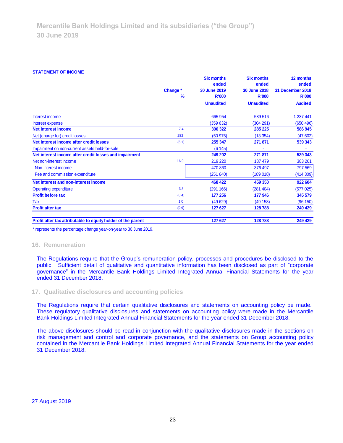#### **STATEMENT OF INCOME**

| <b>STATEMENT OF INCOME</b>                                                                                                                                                                                                                                                                                                                                         |          | <b>Six months</b> | <b>Six months</b> | 12 months               |  |
|--------------------------------------------------------------------------------------------------------------------------------------------------------------------------------------------------------------------------------------------------------------------------------------------------------------------------------------------------------------------|----------|-------------------|-------------------|-------------------------|--|
|                                                                                                                                                                                                                                                                                                                                                                    |          | ended             | ended             | ended                   |  |
|                                                                                                                                                                                                                                                                                                                                                                    | Change * | 30 June 2019      | 30 June 2018      | <b>31 December 2018</b> |  |
|                                                                                                                                                                                                                                                                                                                                                                    | %        | <b>R'000</b>      | <b>R'000</b>      | <b>R'000</b>            |  |
|                                                                                                                                                                                                                                                                                                                                                                    |          | <b>Unaudited</b>  | <b>Unaudited</b>  | <b>Audited</b>          |  |
| Interest income                                                                                                                                                                                                                                                                                                                                                    |          | 665 954           | 589 516           | 1 237 441               |  |
| Interest expense                                                                                                                                                                                                                                                                                                                                                   |          | (359632)          | (304 291)         | (650 496)               |  |
| <b>Net interest income</b>                                                                                                                                                                                                                                                                                                                                         | 7.4      | 306 322           | 285 225           | 586 945                 |  |
| Net (charge for) credit losses                                                                                                                                                                                                                                                                                                                                     | 282      | (50975)           | (13354)           | (47602)                 |  |
| Net interest income after credit losses                                                                                                                                                                                                                                                                                                                            | (6.1)    | 255 347           | 271 871           | 539 343                 |  |
| Impairment on non-current assets held-for-sale                                                                                                                                                                                                                                                                                                                     |          | (6145)            |                   |                         |  |
| Net interest income after credit losses and impairment                                                                                                                                                                                                                                                                                                             |          | 249 202           | 271 871           | 539 343                 |  |
| Net non-interest income                                                                                                                                                                                                                                                                                                                                            | 16.9     | 219 220           | 187 479           | 383 261                 |  |
| Non-interest income                                                                                                                                                                                                                                                                                                                                                |          | 470 860           | 376 497           | 797 569                 |  |
| Fee and commission expenditure                                                                                                                                                                                                                                                                                                                                     |          | (251640)          | (189018)          | (414309)                |  |
| Net interest and non-interest income                                                                                                                                                                                                                                                                                                                               |          | 468 422           | 459 350           | 922 604                 |  |
| <b>Operating expenditure</b>                                                                                                                                                                                                                                                                                                                                       | 3.5      | (291 166)         | (281 404)         | (577025)                |  |
| <b>Profit before tax</b>                                                                                                                                                                                                                                                                                                                                           | (0.4)    | 177 256           | 177 946           | 345 579                 |  |
| Tax                                                                                                                                                                                                                                                                                                                                                                | 1.0      | (49629)           | (49158)           | (96 150)                |  |
| <b>Profit after tax</b>                                                                                                                                                                                                                                                                                                                                            | (0.9)    | 127 627           | 128788            | 249 429                 |  |
| Profit after tax attributable to equity holder of the parent                                                                                                                                                                                                                                                                                                       |          | 127 627           | 128 788           | 249 429                 |  |
| * represents the percentage change year-on-year to 30 June 2019.                                                                                                                                                                                                                                                                                                   |          |                   |                   |                         |  |
| The Regulations require that the Group's remuneration policy, processes and procedures be disclosed to the<br>public. Sufficient detail of qualitative and quantitative information has been disclosed as part of "corporate<br>governance" in the Mercantile Bank Holdings Limited Integrated Annual Financial Statements for the year<br>ended 31 December 2018. |          |                   |                   |                         |  |
| 17. Qualitative disclosures and accounting policies                                                                                                                                                                                                                                                                                                                |          |                   |                   |                         |  |
| The Regulations require that certain qualitative disclosures and statements on accounting policy be made.<br>These regulatory qualitative disclosures and statements on accounting policy were made in the Mercantile<br>Bank Holdings Limited Integrated Annual Financial Statements for the year ended 31 December 2018.                                         |          |                   |                   |                         |  |
| The above disclosures should be read in conjunction with the qualitative disclosures made in the sections on<br>risk management and control and corporate governance, and the statements on Group accounting policy<br>contained in the Mercantile Bank Holdings Limited Integrated Annual Financial Statements for the year ended<br>31 December 2018.            |          |                   |                   |                         |  |
|                                                                                                                                                                                                                                                                                                                                                                    |          |                   |                   |                         |  |
| <b>27 August 2019</b>                                                                                                                                                                                                                                                                                                                                              |          |                   |                   |                         |  |

#### **16. Remuneration**

#### **17. Qualitative disclosures and accounting policies**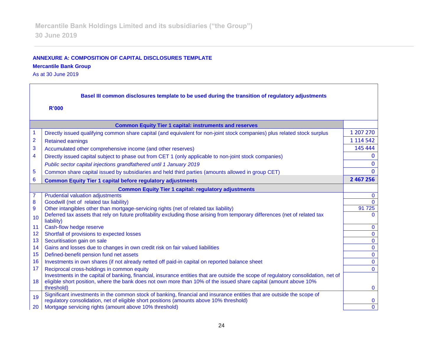## **ANNEXURE A: COMPOSITION OF CAPITAL DISCLOSURES TEMPLATE Mercantile Bank Group**

As at 30 June 2019

| Basel III common disclosures template to be used during the transition of regulatory adjustments |                                                                                                                                                                                                                                                         |               |  |
|--------------------------------------------------------------------------------------------------|---------------------------------------------------------------------------------------------------------------------------------------------------------------------------------------------------------------------------------------------------------|---------------|--|
|                                                                                                  | <b>R'000</b>                                                                                                                                                                                                                                            |               |  |
|                                                                                                  | <b>Common Equity Tier 1 capital: instruments and reserves</b>                                                                                                                                                                                           |               |  |
| 1                                                                                                | Directly issued qualifying common share capital (and equivalent for non-joint stock companies) plus related stock surplus                                                                                                                               | 1 207 270     |  |
| $\overline{2}$                                                                                   | <b>Retained earnings</b>                                                                                                                                                                                                                                | 1 1 1 4 5 4 2 |  |
| 3                                                                                                | Accumulated other comprehensive income (and other reserves)                                                                                                                                                                                             | 145 444       |  |
| 4                                                                                                | Directly issued capital subject to phase out from CET 1 (only applicable to non-joint stock companies)                                                                                                                                                  |               |  |
|                                                                                                  | Public sector capital injections grandfathered until 1 January 2019                                                                                                                                                                                     | $\Omega$      |  |
| 5                                                                                                | Common share capital issued by subsidiaries and held third parties (amounts allowed in group CET)                                                                                                                                                       | $\Omega$      |  |
| 6                                                                                                | <b>Common Equity Tier 1 capital before regulatory adjustments</b>                                                                                                                                                                                       | 2 467 256     |  |
| <b>Common Equity Tier 1 capital: regulatory adjustments</b>                                      |                                                                                                                                                                                                                                                         |               |  |
| 7                                                                                                | <b>Prudential valuation adjustments</b>                                                                                                                                                                                                                 | $\mathbf{0}$  |  |
| 8                                                                                                | Goodwill (net of related tax liability)                                                                                                                                                                                                                 | $\Omega$      |  |
| 9                                                                                                | Other intangibles other than mortgage-servicing rights (net of related tax liability)                                                                                                                                                                   | 91 725        |  |
| 10                                                                                               | Deferred tax assets that rely on future profitability excluding those arising from temporary differences (net of related tax<br>liability)                                                                                                              | $\Omega$      |  |
| 11                                                                                               | Cash-flow hedge reserve                                                                                                                                                                                                                                 | $\mathbf 0$   |  |
| 12                                                                                               | Shortfall of provisions to expected losses                                                                                                                                                                                                              | $\mathbf{0}$  |  |
| 13                                                                                               | Securitisation gain on sale                                                                                                                                                                                                                             | $\mathbf{0}$  |  |
| 14                                                                                               | Gains and losses due to changes in own credit risk on fair valued liabilities                                                                                                                                                                           | $\mathbf{0}$  |  |
| 15                                                                                               | Defined-benefit pension fund net assets                                                                                                                                                                                                                 | $\mathbf{0}$  |  |
| 16                                                                                               | Investments in own shares (if not already netted off paid-in capital on reported balance sheet                                                                                                                                                          | $\mathbf 0$   |  |
| 17                                                                                               | Reciprocal cross-holdings in common equity                                                                                                                                                                                                              | $\Omega$      |  |
| 18                                                                                               | Investments in the capital of banking, financial, insurance entities that are outside the scope of regulatory consolidation, net of<br>eligible short position, where the bank does not own more than 10% of the issued share capital (amount above 10% |               |  |
|                                                                                                  | threshold)<br>Significant investments in the common stock of banking, financial and insurance entities that are outside the scope of                                                                                                                    | $\mathbf{0}$  |  |
| 19                                                                                               | regulatory consolidation, net of eligible short positions (amounts above 10% threshold)                                                                                                                                                                 | $\bf{0}$      |  |
| 20                                                                                               | Mortgage servicing rights (amount above 10% threshold)                                                                                                                                                                                                  | $\mathbf 0$   |  |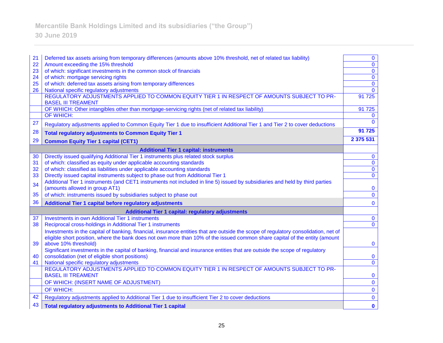# **Mercantile Bank Holdings Limited and its subsidiaries ("the Group")**

# **30 June 2019**

| 21 | Deferred tax assets arising from temporary differences (amounts above 10% threshold, net of related tax liability)                                             | $\bf{0}$     |  |
|----|----------------------------------------------------------------------------------------------------------------------------------------------------------------|--------------|--|
| 22 | Amount exceeding the 15% threshold                                                                                                                             | $\mathbf 0$  |  |
| 23 | of which: significant investments in the common stock of financials                                                                                            | $\mathbf{0}$ |  |
| 24 | of which: mortgage servicing rights                                                                                                                            | $\mathbf 0$  |  |
| 25 | of which: deferred tax assets arising from temporary differences                                                                                               | $\mathbf{0}$ |  |
| 26 | National specific regulatory adjustments                                                                                                                       | $\mathbf{0}$ |  |
|    | REGULATORY ADJUSTMENTS APPLIED TO COMMON EQUITY TIER 1 IN RESPECT OF AMOUNTS SUBJECT TO PR-<br><b>BASEL III TREAMENT</b>                                       | 91 7 25      |  |
|    | OF WHICH: Other intangibles other than mortgage-servicing rights (net of related tax liability)                                                                | 91 725       |  |
|    | OF WHICH:                                                                                                                                                      | $\bf{0}$     |  |
| 27 | Regulatory adjustments applied to Common Equity Tier 1 due to insufficient Additional Tier 1 and Tier 2 to cover deductions                                    | $\Omega$     |  |
| 28 | <b>Total regulatory adjustments to Common Equity Tier 1</b>                                                                                                    | 91 725       |  |
| 29 | <b>Common Equity Tier 1 capital (CET1)</b>                                                                                                                     | 2 375 531    |  |
|    | <b>Additional Tier 1 capital: instruments</b>                                                                                                                  |              |  |
| 30 | Directly issued qualifying Additional Tier 1 instruments plus related stock surplus                                                                            | $\bf{0}$     |  |
| 31 | of which: classified as equity under applicable accounting standards                                                                                           | $\mathbf 0$  |  |
| 32 | of which: classified as liabilities under applicable accounting standards                                                                                      | $\mathbf 0$  |  |
| 33 | Directly issued capital instruments subject to phase out from Additional Tier 1                                                                                | $\mathbf{0}$ |  |
| 34 | Additional Tier 1 instruments (and CET1 instruments not included in line 5) issued by subsidiaries and held by third parties<br>(amounts allowed in group AT1) | $\bf{0}$     |  |
| 35 | of which: instruments issued by subsidiaries subject to phase out                                                                                              | $\mathbf 0$  |  |
| 36 | Additional Tier 1 capital before regulatory adjustments                                                                                                        | $\bf{0}$     |  |
|    | <b>Additional Tier 1 capital: regulatory adjustments</b>                                                                                                       |              |  |
| 37 | <b>Investments in own Additional Tier 1 instruments</b>                                                                                                        | $\bf{0}$     |  |
| 38 | Reciprocal cross-holdings in Additional Tier 1 instruments                                                                                                     | $\Omega$     |  |
|    | Investments in the capital of banking, financial, insurance entities that are outside the scope of regulatory consolidation, net of                            |              |  |
|    | eligible short position, where the bank does not own more than 10% of the issued common share capital of the entity (amount                                    |              |  |
| 39 | above 10% threshold)                                                                                                                                           | $\mathbf{0}$ |  |
|    | Significant investments in the capital of banking, financial and insurance entities that are outside the scope of regulatory                                   |              |  |
| 40 | consolidation (net of eligible short positions)                                                                                                                | $\bf{0}$     |  |
| 41 | National specific regulatory adjustments                                                                                                                       | $\bf{0}$     |  |
|    | REGULATORY ADJUSTMENTS APPLIED TO COMMON EQUITY TIER 1 IN RESPECT OF AMOUNTS SUBJECT TO PR-<br><b>BASEL III TREAMENT</b>                                       | $\mathbf 0$  |  |
|    | OF WHICH: (INSERT NAME OF ADJUSTMENT)                                                                                                                          | $\mathbf 0$  |  |
|    | OF WHICH:                                                                                                                                                      | $\mathbf 0$  |  |
| 42 | Regulatory adjustments applied to Additional Tier 1 due to insufficient Tier 2 to cover deductions                                                             | $\bf{0}$     |  |
| 43 | <b>Total regulatory adjustments to Additional Tier 1 capital</b>                                                                                               | $\mathbf 0$  |  |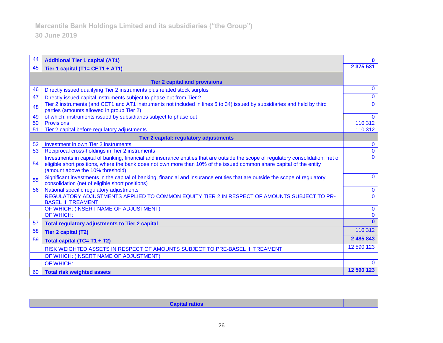| 44 | <b>Additional Tier 1 capital (AT1)</b>                                                                                                                                                                                                                                                         | 0            |
|----|------------------------------------------------------------------------------------------------------------------------------------------------------------------------------------------------------------------------------------------------------------------------------------------------|--------------|
| 45 | Tier 1 capital (T1= CET1 + AT1)                                                                                                                                                                                                                                                                | 2 375 531    |
|    |                                                                                                                                                                                                                                                                                                |              |
|    | <b>Tier 2 capital and provisions</b>                                                                                                                                                                                                                                                           |              |
| 46 | Directly issued qualifying Tier 2 instruments plus related stock surplus                                                                                                                                                                                                                       | $\mathbf{0}$ |
| 47 | Directly issued capital instruments subject to phase out from Tier 2                                                                                                                                                                                                                           | $\mathbf{0}$ |
| 48 | Tier 2 instruments (and CET1 and AT1 instruments not included in lines 5 to 34) issued by subsidiaries and held by third<br>parties (amounts allowed in group Tier 2)                                                                                                                          | $\Omega$     |
| 49 | of which: instruments issued by subsidiaries subject to phase out                                                                                                                                                                                                                              | $\mathbf 0$  |
| 50 | <b>Provisions</b>                                                                                                                                                                                                                                                                              | 110 312      |
| 51 | Tier 2 capital before regulatory adjustments                                                                                                                                                                                                                                                   | 110 312      |
|    | Tier 2 capital: regulatory adjustments                                                                                                                                                                                                                                                         |              |
| 52 | Investment in own Tier 2 instruments                                                                                                                                                                                                                                                           | $\mathbf{0}$ |
| 53 | Reciprocal cross-holdings in Tier 2 instruments                                                                                                                                                                                                                                                | $\mathbf{0}$ |
| 54 | Investments in capital of banking, financial and insurance entities that are outside the scope of regulatory consolidation, net of<br>eligible short positions, where the bank does not own more than 10% of the issued common share capital of the entity<br>(amount above the 10% threshold) | $\Omega$     |
| 55 | Significant investments in the capital of banking, financial and insurance entities that are outside the scope of regulatory<br>consolidation (net of eligible short positions)                                                                                                                | $\mathbf{0}$ |
| 56 | National specific regulatory adjustments                                                                                                                                                                                                                                                       | $\mathbf{0}$ |
|    | REGULATORY ADJUSTMENTS APPLIED TO COMMON EQUITY TIER 2 IN RESPECT OF AMOUNTS SUBJECT TO PR-<br><b>BASEL III TREAMENT</b>                                                                                                                                                                       | $\Omega$     |
|    | OF WHICH: (INSERT NAME OF ADJUSTMENT)                                                                                                                                                                                                                                                          | $\mathbf{0}$ |
|    | <b>OF WHICH:</b>                                                                                                                                                                                                                                                                               | $\mathbf{0}$ |
| 57 | <b>Total regulatory adjustments to Tier 2 capital</b>                                                                                                                                                                                                                                          | $\mathbf{0}$ |
| 58 | <b>Tier 2 capital (T2)</b>                                                                                                                                                                                                                                                                     | 110 312      |
| 59 | Total capital (TC= T1 + T2)                                                                                                                                                                                                                                                                    | 2 485 843    |
|    | RISK WEIGHTED ASSETS IN RESPECT OF AMOUNTS SUBJECT TO PRE-BASEL III TREAMENT                                                                                                                                                                                                                   | 12 590 123   |
|    | OF WHICH: (INSERT NAME OF ADJUSTMENT)                                                                                                                                                                                                                                                          |              |
|    | OF WHICH:                                                                                                                                                                                                                                                                                      | $\Omega$     |
| 60 | <b>Total risk weighted assets</b>                                                                                                                                                                                                                                                              | 12 590 123   |

**Capital ratios**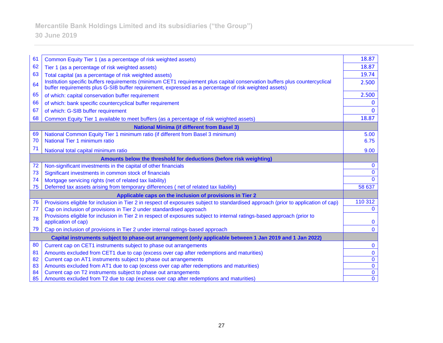| 61 | Common Equity Tier 1 (as a percentage of risk weighted assets)                                                                                                                                                                      | 18.87        |
|----|-------------------------------------------------------------------------------------------------------------------------------------------------------------------------------------------------------------------------------------|--------------|
| 62 | Tier 1 (as a percentage of risk weighted assets)                                                                                                                                                                                    | 18.87        |
| 63 | Total capital (as a percentage of risk weighted assets)                                                                                                                                                                             | 19.74        |
| 64 | Institution specific buffers requirements (minimum CET1 requirement plus capital conservation buffers plus countercyclical<br>buffer requirements plus G-SIB buffer requirement, expressed as a percentage of risk weighted assets) | 2.500        |
| 65 | of which: capital conservation buffer requirement                                                                                                                                                                                   | 2.500        |
| 66 | of which: bank specific countercyclical buffer requirement                                                                                                                                                                          | 0            |
| 67 | of which: G-SIB buffer requirement                                                                                                                                                                                                  | $\Omega$     |
| 68 | Common Equity Tier 1 available to meet buffers (as a percentage of risk weighted assets)                                                                                                                                            | 18.87        |
|    | <b>National Minima (if different from Basel 3)</b>                                                                                                                                                                                  |              |
| 69 | National Common Equity Tier 1 minimum ratio (if different from Basel 3 minimum)                                                                                                                                                     | 5.00         |
| 70 | National Tier 1 minimum ratio                                                                                                                                                                                                       | 6.75         |
| 71 | National total capital minimum ratio                                                                                                                                                                                                | 9.00         |
|    | Amounts below the threshold for deductions (before risk weighting)                                                                                                                                                                  |              |
| 72 | Non-significant investments in the capital of other financials                                                                                                                                                                      | $\mathbf{0}$ |
| 73 | Significant investments in common stock of financials                                                                                                                                                                               | $\mathbf{0}$ |
| 74 | Mortgage servicing rights (net of related tax liability)                                                                                                                                                                            | $\mathbf{0}$ |
| 75 | Deferred tax assets arising from temporary differences (net of related tax liability)                                                                                                                                               | 58 637       |
|    | Applicable caps on the inclusion of provisions in Tier 2                                                                                                                                                                            |              |
| 76 | Provisions eligible for inclusion in Tier 2 in respect of exposures subject to standardised approach (prior to application of cap)                                                                                                  | 110 312      |
| 77 | Cap on inclusion of provisions in Tier 2 under standardised approach                                                                                                                                                                | $\mathbf{0}$ |
| 78 | Provisions eligible for inclusion in Tier 2 in respect of exposures subject to internal ratings-based approach (prior to                                                                                                            |              |
|    | application of cap)                                                                                                                                                                                                                 | $\mathbf 0$  |
| 79 | Cap on inclusion of provisions in Tier 2 under internal ratings-based approach                                                                                                                                                      | $\mathbf{0}$ |
|    | Capital instruments subject to phase-out arrangement (only applicable between 1 Jan 2019 and 1 Jan 2022)                                                                                                                            |              |
| 80 | Current cap on CET1 instruments subject to phase out arrangements                                                                                                                                                                   | $\mathbf 0$  |
| 81 | Amounts excluded from CET1 due to cap (excess over cap after redemptions and maturities)                                                                                                                                            | $\mathbf 0$  |
| 82 | Current cap on AT1 instruments subject to phase out arrangements                                                                                                                                                                    | $\mathbf 0$  |
| 83 | Amounts excluded from AT1 due to cap (excess over cap after redemptions and maturities)                                                                                                                                             | $\mathbf{0}$ |
| 84 | Current cap on T2 instruments subject to phase out arrangements                                                                                                                                                                     | $\bf{0}$     |
| 85 | Amounts excluded from T2 due to cap (excess over cap after redemptions and maturities)                                                                                                                                              | $\bf{0}$     |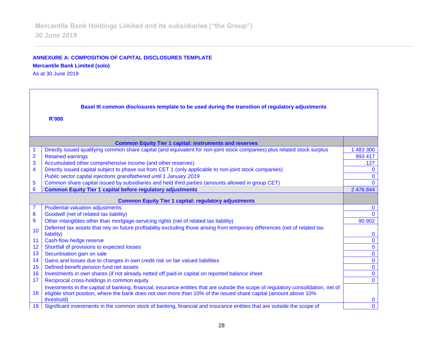## **ANNEXURE A: COMPOSITION OF CAPITAL DISCLOSURES TEMPLATE Mercantile Bank Limited (solo)**

As at 30 June 2019

| Basel III common disclosures template to be used during the transition of regulatory adjustments |                                                                                                                                                                                                                                                         |                |  |
|--------------------------------------------------------------------------------------------------|---------------------------------------------------------------------------------------------------------------------------------------------------------------------------------------------------------------------------------------------------------|----------------|--|
| <b>R'000</b>                                                                                     |                                                                                                                                                                                                                                                         |                |  |
|                                                                                                  | <b>Common Equity Tier 1 capital: instruments and reserves</b>                                                                                                                                                                                           |                |  |
|                                                                                                  | Directly issued qualifying common share capital (and equivalent for non-joint stock companies) plus related stock surplus                                                                                                                               | 1483300        |  |
| $\overline{2}$                                                                                   | <b>Retained earnings</b>                                                                                                                                                                                                                                | 993 417        |  |
| 3                                                                                                | Accumulated other comprehensive income (and other reserves)                                                                                                                                                                                             | 127            |  |
| 4                                                                                                | Directly issued capital subject to phase out from CET 1 (only applicable to non-joint stock companies)                                                                                                                                                  | $\mathbf{0}$   |  |
|                                                                                                  | Public sector capital injections grandfathered until 1 January 2019                                                                                                                                                                                     | $\Omega$       |  |
| 5                                                                                                | Common share capital issued by subsidiaries and held third parties (amounts allowed in group CET)                                                                                                                                                       | $\Omega$       |  |
| 6                                                                                                | <b>Common Equity Tier 1 capital before regulatory adjustments</b>                                                                                                                                                                                       | 2 476 844      |  |
| <b>Common Equity Tier 1 capital: regulatory adjustments</b>                                      |                                                                                                                                                                                                                                                         |                |  |
| 7                                                                                                | <b>Prudential valuation adjustments</b>                                                                                                                                                                                                                 | $\mathbf{0}$   |  |
| 8                                                                                                | Goodwill (net of related tax liability)                                                                                                                                                                                                                 | $\Omega$       |  |
| 9                                                                                                | Other intangibles other than mortgage-servicing rights (net of related tax liability)                                                                                                                                                                   | 90 902         |  |
| 10                                                                                               | Deferred tax assets that rely on future profitability excluding those arising from temporary differences (net of related tax<br>liability)                                                                                                              | $\bf{0}$       |  |
| 11                                                                                               | Cash-flow hedge reserve                                                                                                                                                                                                                                 | $\mathbf{0}$   |  |
| 12                                                                                               | Shortfall of provisions to expected losses                                                                                                                                                                                                              | $\mathbf 0$    |  |
| 13                                                                                               | Securitisation gain on sale                                                                                                                                                                                                                             | $\mathbf 0$    |  |
| 14                                                                                               | Gains and losses due to changes in own credit risk on fair valued liabilities                                                                                                                                                                           | $\mathbf 0$    |  |
| 15                                                                                               | Defined-benefit pension fund net assets                                                                                                                                                                                                                 | $\mathbf 0$    |  |
| 16                                                                                               | Investments in own shares (if not already netted off paid-in capital on reported balance sheet                                                                                                                                                          | $\mathbf 0$    |  |
| 17                                                                                               | Reciprocal cross-holdings in common equity                                                                                                                                                                                                              | $\mathbf{0}$   |  |
| 18                                                                                               | Investments in the capital of banking, financial, insurance entities that are outside the scope of regulatory consolidation, net of<br>eligible short position, where the bank does not own more than 10% of the issued share capital (amount above 10% |                |  |
|                                                                                                  | threshold)                                                                                                                                                                                                                                              | $\bf{0}$       |  |
|                                                                                                  | 19 Significant investments in the common stock of banking, financial and insurance entities that are outside the scope of                                                                                                                               | $\overline{0}$ |  |

┑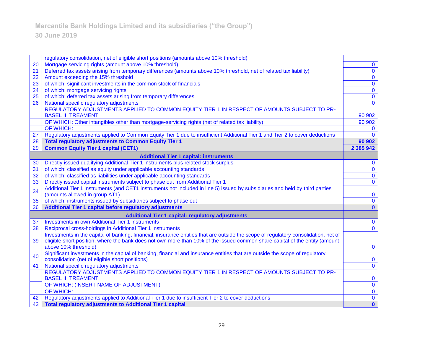# **30 June 2019**

|                                                          | regulatory consolidation, net of eligible short positions (amounts above 10% threshold)                                             |               |
|----------------------------------------------------------|-------------------------------------------------------------------------------------------------------------------------------------|---------------|
| 20                                                       | Mortgage servicing rights (amount above 10% threshold)                                                                              | $\mathbf{0}$  |
|                                                          |                                                                                                                                     |               |
| 21                                                       | Deferred tax assets arising from temporary differences (amounts above 10% threshold, net of related tax liability)                  | $\mathbf 0$   |
| 22                                                       | Amount exceeding the 15% threshold                                                                                                  | $\mathbf 0$   |
| 23                                                       | of which: significant investments in the common stock of financials                                                                 | $\mathbf 0$   |
| 24                                                       | of which: mortgage servicing rights                                                                                                 | $\mathbf 0$   |
| 25                                                       | of which: deferred tax assets arising from temporary differences                                                                    | $\bf{0}$      |
| 26                                                       | National specific regulatory adjustments                                                                                            | $\mathbf{0}$  |
|                                                          | REGULATORY ADJUSTMENTS APPLIED TO COMMON EQUITY TIER 1 IN RESPECT OF AMOUNTS SUBJECT TO PR-                                         |               |
|                                                          | <b>BASEL III TREAMENT</b>                                                                                                           | 90 902        |
|                                                          | OF WHICH: Other intangibles other than mortgage-servicing rights (net of related tax liability)                                     | 90 902        |
|                                                          | OF WHICH:                                                                                                                           | $\mathbf{0}$  |
| 27                                                       | Regulatory adjustments applied to Common Equity Tier 1 due to insufficient Additional Tier 1 and Tier 2 to cover deductions         | $\Omega$      |
| 28                                                       | <b>Total regulatory adjustments to Common Equity Tier 1</b>                                                                         | 90 902        |
| 29                                                       | <b>Common Equity Tier 1 capital (CET1)</b>                                                                                          | 2 3 8 5 9 4 2 |
| <b>Additional Tier 1 capital: instruments</b>            |                                                                                                                                     |               |
| 30                                                       | Directly issued qualifying Additional Tier 1 instruments plus related stock surplus                                                 | $\bf{0}$      |
| 31                                                       | of which: classified as equity under applicable accounting standards                                                                | $\mathbf{0}$  |
| 32                                                       | of which: classified as liabilities under applicable accounting standards                                                           | $\mathbf 0$   |
| 33                                                       | Directly issued capital instruments subject to phase out from Additional Tier 1                                                     | $\mathbf 0$   |
|                                                          | Additional Tier 1 instruments (and CET1 instruments not included in line 5) issued by subsidiaries and held by third parties        |               |
| 34                                                       | (amounts allowed in group AT1)                                                                                                      | $\bf{0}$      |
| 35                                                       | of which: instruments issued by subsidiaries subject to phase out                                                                   | $\mathbf 0$   |
| 36                                                       | Additional Tier 1 capital before regulatory adjustments                                                                             | $\mathbf{0}$  |
| <b>Additional Tier 1 capital: regulatory adjustments</b> |                                                                                                                                     |               |
| 37                                                       | <b>Investments in own Additional Tier 1 instruments</b>                                                                             | $\bf{0}$      |
| 38                                                       | Reciprocal cross-holdings in Additional Tier 1 instruments                                                                          | $\mathbf 0$   |
|                                                          | Investments in the capital of banking, financial, insurance entities that are outside the scope of regulatory consolidation, net of |               |
| 39                                                       | eligible short position, where the bank does not own more than 10% of the issued common share capital of the entity (amount         |               |
|                                                          | above 10% threshold)                                                                                                                | $\bf{0}$      |
|                                                          | Significant investments in the capital of banking, financial and insurance entities that are outside the scope of regulatory        |               |
| 40                                                       | consolidation (net of eligible short positions)                                                                                     | $\bf{0}$      |
| 41                                                       | National specific regulatory adjustments                                                                                            | $\mathbf 0$   |
|                                                          | REGULATORY ADJUSTMENTS APPLIED TO COMMON EQUITY TIER 1 IN RESPECT OF AMOUNTS SUBJECT TO PR-                                         |               |
|                                                          | <b>BASEL III TREAMENT</b>                                                                                                           | $\bf{0}$      |
|                                                          | OF WHICH: (INSERT NAME OF ADJUSTMENT)                                                                                               | $\bf{0}$      |
|                                                          | OF WHICH:                                                                                                                           | $\bf{0}$      |
| 42                                                       | Regulatory adjustments applied to Additional Tier 1 due to insufficient Tier 2 to cover deductions                                  | $\mathbf 0$   |
| 43                                                       | <b>Total regulatory adjustments to Additional Tier 1 capital</b>                                                                    | $\mathbf{0}$  |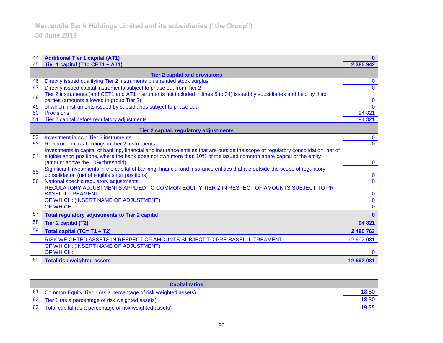| 44<br>45                                      | <b>Additional Tier 1 capital (AT1)</b><br>Tier 1 capital (T1= CET1 + AT1)                                                               | 2 3 8 5 9 4 2 |  |
|-----------------------------------------------|-----------------------------------------------------------------------------------------------------------------------------------------|---------------|--|
| <b>Tier 2 capital and provisions</b>          |                                                                                                                                         |               |  |
| 46                                            | Directly issued qualifying Tier 2 instruments plus related stock surplus                                                                | $\mathbf{0}$  |  |
| 47                                            | Directly issued capital instruments subject to phase out from Tier 2                                                                    | $\mathbf{0}$  |  |
| 48                                            | Tier 2 instruments (and CET1 and AT1 instruments not included in lines 5 to 34) issued by subsidiaries and held by third                |               |  |
|                                               | parties (amounts allowed in group Tier 2)                                                                                               |               |  |
| 49                                            | of which: instruments issued by subsidiaries subject to phase out                                                                       | $\Omega$      |  |
| 50                                            | <b>Provisions</b>                                                                                                                       | 94 821        |  |
| 51                                            | Tier 2 capital before regulatory adjustments                                                                                            | 94 821        |  |
| <b>Tier 2 capital: regulatory adjustments</b> |                                                                                                                                         |               |  |
| 52                                            | Investment in own Tier 2 instruments                                                                                                    | $\mathbf{0}$  |  |
| 53                                            | Reciprocal cross-holdings in Tier 2 instruments                                                                                         | $\mathbf{0}$  |  |
|                                               | Investments in capital of banking, financial and insurance entities that are outside the scope of regulatory consolidation, net of      |               |  |
| 54                                            | eligible short positions, where the bank does not own more than 10% of the issued common share capital of the entity                    |               |  |
|                                               | (amount above the 10% threshold)                                                                                                        | $\mathbf{0}$  |  |
| 55                                            | Significant investments in the capital of banking, financial and insurance entities that are outside the scope of regulatory            |               |  |
|                                               | consolidation (net of eligible short positions)                                                                                         | $\mathbf{0}$  |  |
| 56                                            | National specific regulatory adjustments<br>REGULATORY ADJUSTMENTS APPLIED TO COMMON EQUITY TIER 2 IN RESPECT OF AMOUNTS SUBJECT TO PR- | $\mathbf{0}$  |  |
|                                               | <b>BASEL III TREAMENT</b>                                                                                                               | $\bf{0}$      |  |
|                                               | OF WHICH: (INSERT NAME OF ADJUSTMENT)                                                                                                   | $\mathbf{0}$  |  |
|                                               | OF WHICH:                                                                                                                               | $\mathbf{0}$  |  |
| 57                                            | <b>Total regulatory adjustments to Tier 2 capital</b>                                                                                   | n             |  |
|                                               |                                                                                                                                         |               |  |
| 58                                            | <b>Tier 2 capital (T2)</b>                                                                                                              | 94 821        |  |
| 59                                            | Total capital (TC= T1 + T2)                                                                                                             | 2 480 763     |  |
|                                               | RISK WEIGHTED ASSETS IN RESPECT OF AMOUNTS SUBJECT TO PRE-BASEL III TREAMENT                                                            | 12 692 081    |  |
|                                               | OF WHICH: (INSERT NAME OF ADJUSTMENT)                                                                                                   |               |  |
|                                               | OF WHICH:                                                                                                                               | $\Omega$      |  |
| 60                                            | <b>Total risk weighted assets</b>                                                                                                       | 12 692 081    |  |

| <b>Capital ratios</b> |                                                                     |       |
|-----------------------|---------------------------------------------------------------------|-------|
|                       | 61   Common Equity Tier 1 (as a percentage of risk weighted assets) | 18.80 |
|                       | 62   Tier 1 (as a percentage of risk weighted assets)               | 18.80 |
|                       | 63 Total capital (as a percentage of risk weighted assets)          | 19.55 |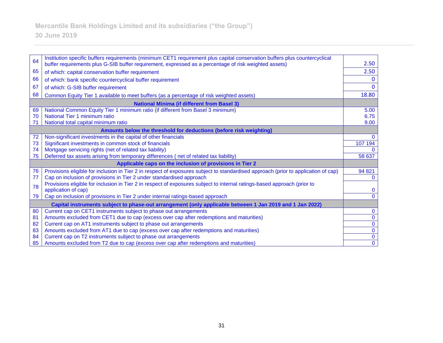## 64 Institution specific buffers requirements (minimum CET1 requirement plus capital conservation buffers plus countercyclical buffer requirements plus G-SIB buffer requirement, expressed as a percentage of risk weighted assets) 2.50 65 of which: capital conservation buffer requirement 2.50 66 of which: bank specific countercyclical buffer requirement 0 67 of which: G-SIB buffer requirement 0 68 Common Equity Tier 1 available to meet buffers (as a percentage of risk weighted assets) 18.80 **National Minima (if different from Basel 3)** 69 National Common Equity Tier 1 minimum ratio (if different from Basel 3 minimum) 5.00 70 National Tier 1 minimum ratio 6.75 71 National total capital minimum ratio 9.00 **Amounts below the threshold for deductions (before risk weighting)** 72 Non-significant investments in the capital of other financials 0 73 Significant investments in common stock of financials 107 194 74 Mortgage servicing rights (net of related tax liability) 0 75 Deferred tax assets arising from temporary differences ( net of related tax liability) 58 637 **Applicable caps on the inclusion of provisions in Tier 2** 76 Provisions eligible for inclusion in Tier 2 in respect of exposures subject to standardised approach (prior to application of cap) 94 821 77 Cap on inclusion of provisions in Tier 2 under standardised approach 0 <sup>78</sup> Provisions eligible for inclusion in Tier 2 in respect of exposures subject to internal ratings-based approach (prior to application of cap) and contact the contact of cap of cap of cap of cap of cap of cap of cap of cap of cap of cap of cap of cap of cap of cap of cap of cap of cap of cap of cap of cap of cap of cap of cap of cap of cap of 79 Cap on inclusion of provisions in Tier 2 under internal ratings-based approach 0 **Capital instruments subject to phase-out arrangement (only applicable between 1 Jan 2019 and 1 Jan 2022)** 80 Current cap on CET1 instruments subject to phase out arrangements 0 81 Amounts excluded from CET1 due to cap (excess over cap after redemptions and maturities) 0 82 Current cap on AT1 instruments subject to phase out arrangements of the contract of the contract of the contract of the contract of the contract of the contract of the contract of the contract of the contract of the con 83 Amounts excluded from AT1 due to cap (excess over cap after redemptions and maturities)  $\begin{array}{|l|l|}\n\hline\n0\end{array}$  0

84 Current cap on T2 instruments subject to phase out arrangements

85 Amounts excluded from T2 due to cap (excess over cap after redemptions and maturities) 0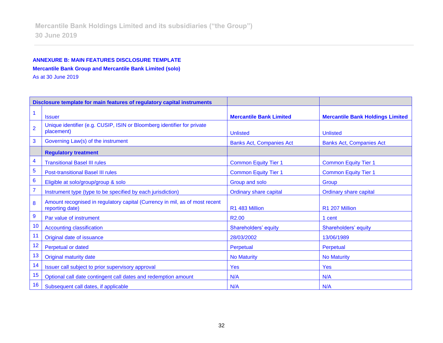# **ANNEXURE B: MAIN FEATURES DISCLOSURE TEMPLATE Mercantile Bank Group and Mercantile Bank Limited (solo)**

As at 30 June 2019

|                  | Disclosure template for main features of regulatory capital instruments                        |                                 |                                         |
|------------------|------------------------------------------------------------------------------------------------|---------------------------------|-----------------------------------------|
|                  | <b>Issuer</b>                                                                                  | <b>Mercantile Bank Limited</b>  | <b>Mercantile Bank Holdings Limited</b> |
| $\overline{2}$   | Unique identifier (e.g. CUSIP, ISIN or Bloomberg identifier for private<br>placement)          | <b>Unlisted</b>                 | <b>Unlisted</b>                         |
| 3                | Governing Law(s) of the instrument                                                             | <b>Banks Act, Companies Act</b> | <b>Banks Act, Companies Act</b>         |
|                  | <b>Regulatory treatment</b>                                                                    |                                 |                                         |
| 4                | <b>Transitional Basel III rules</b>                                                            | <b>Common Equity Tier 1</b>     | <b>Common Equity Tier 1</b>             |
| 5                | <b>Post-transitional Basel III rules</b>                                                       | <b>Common Equity Tier 1</b>     | <b>Common Equity Tier 1</b>             |
| $6\phantom{1}6$  | Eligible at solo/group/group & solo                                                            | Group and solo                  | Group                                   |
| $\overline{7}$   | Instrument type (type to be specified by each jurisdiction)                                    | <b>Ordinary share capital</b>   | <b>Ordinary share capital</b>           |
| 8                | Amount recognised in regulatory capital (Currency in mil, as of most recent<br>reporting date) | R1 483 Million                  | R1 207 Million                          |
| $\boldsymbol{9}$ | Par value of instrument                                                                        | R <sub>2.00</sub>               | 1 cent                                  |
| 10               | <b>Accounting classification</b>                                                               | Shareholders' equity            | Shareholders' equity                    |
| 11               | Original date of issuance                                                                      | 28/03/2002                      | 13/06/1989                              |
| 12               | <b>Perpetual or dated</b>                                                                      | Perpetual                       | Perpetual                               |
| 13               | <b>Original maturity date</b>                                                                  | <b>No Maturity</b>              | <b>No Maturity</b>                      |
| 14               | Issuer call subject to prior supervisory approval                                              | Yes                             | <b>Yes</b>                              |
| 15               | Optional call date contingent call dates and redemption amount                                 | N/A                             | N/A                                     |
| 16               | Subsequent call dates, if applicable                                                           | N/A                             | N/A                                     |